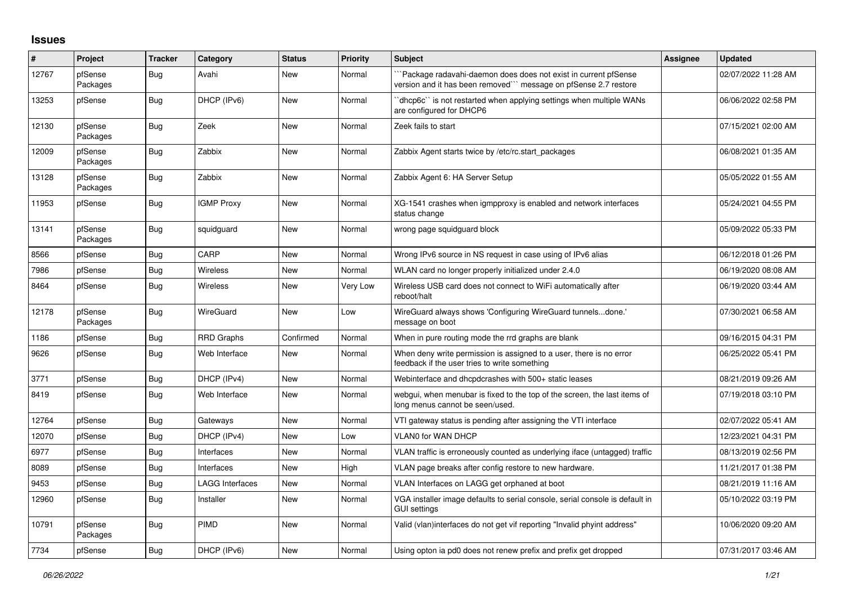## **Issues**

| #     | Project             | <b>Tracker</b> | Category               | <b>Status</b> | <b>Priority</b> | <b>Subject</b>                                                                                                                      | Assignee | <b>Updated</b>      |
|-------|---------------------|----------------|------------------------|---------------|-----------------|-------------------------------------------------------------------------------------------------------------------------------------|----------|---------------------|
| 12767 | pfSense<br>Packages | Bug            | Avahi                  | <b>New</b>    | Normal          | Package radavahi-daemon does does not exist in current pfSense<br>version and it has been removed``` message on pfSense 2.7 restore |          | 02/07/2022 11:28 AM |
| 13253 | pfSense             | <b>Bug</b>     | DHCP (IPv6)            | New           | Normal          | 'dhcp6c' is not restarted when applying settings when multiple WANs<br>are configured for DHCP6                                     |          | 06/06/2022 02:58 PM |
| 12130 | pfSense<br>Packages | Bug            | Zeek                   | New           | Normal          | Zeek fails to start                                                                                                                 |          | 07/15/2021 02:00 AM |
| 12009 | pfSense<br>Packages | Bug            | Zabbix                 | New           | Normal          | Zabbix Agent starts twice by /etc/rc.start packages                                                                                 |          | 06/08/2021 01:35 AM |
| 13128 | pfSense<br>Packages | Bug            | Zabbix                 | <b>New</b>    | Normal          | Zabbix Agent 6: HA Server Setup                                                                                                     |          | 05/05/2022 01:55 AM |
| 11953 | pfSense             | Bug            | <b>IGMP Proxy</b>      | <b>New</b>    | Normal          | XG-1541 crashes when igmpproxy is enabled and network interfaces<br>status change                                                   |          | 05/24/2021 04:55 PM |
| 13141 | pfSense<br>Packages | <b>Bug</b>     | squidguard             | New           | Normal          | wrong page squidguard block                                                                                                         |          | 05/09/2022 05:33 PM |
| 8566  | pfSense             | Bug            | CARP                   | <b>New</b>    | Normal          | Wrong IPv6 source in NS request in case using of IPv6 alias                                                                         |          | 06/12/2018 01:26 PM |
| 7986  | pfSense             | <b>Bug</b>     | Wireless               | New           | Normal          | WLAN card no longer properly initialized under 2.4.0                                                                                |          | 06/19/2020 08:08 AM |
| 8464  | pfSense             | Bug            | Wireless               | New           | Very Low        | Wireless USB card does not connect to WiFi automatically after<br>reboot/halt                                                       |          | 06/19/2020 03:44 AM |
| 12178 | pfSense<br>Packages | Bug            | WireGuard              | <b>New</b>    | Low             | WireGuard always shows 'Configuring WireGuard tunnelsdone.'<br>message on boot                                                      |          | 07/30/2021 06:58 AM |
| 1186  | pfSense             | <b>Bug</b>     | <b>RRD Graphs</b>      | Confirmed     | Normal          | When in pure routing mode the rrd graphs are blank                                                                                  |          | 09/16/2015 04:31 PM |
| 9626  | pfSense             | Bug            | Web Interface          | New           | Normal          | When deny write permission is assigned to a user, there is no error<br>feedback if the user tries to write something                |          | 06/25/2022 05:41 PM |
| 3771  | pfSense             | <b>Bug</b>     | DHCP (IPv4)            | New           | Normal          | Webinterface and dhcpdcrashes with 500+ static leases                                                                               |          | 08/21/2019 09:26 AM |
| 8419  | pfSense             | Bug            | Web Interface          | New           | Normal          | webgui, when menubar is fixed to the top of the screen, the last items of<br>long menus cannot be seen/used.                        |          | 07/19/2018 03:10 PM |
| 12764 | pfSense             | Bug            | Gateways               | <b>New</b>    | Normal          | VTI gateway status is pending after assigning the VTI interface                                                                     |          | 02/07/2022 05:41 AM |
| 12070 | pfSense             | Bug            | DHCP (IPv4)            | New           | Low             | VLAN0 for WAN DHCP                                                                                                                  |          | 12/23/2021 04:31 PM |
| 6977  | pfSense             | <b>Bug</b>     | Interfaces             | <b>New</b>    | Normal          | VLAN traffic is erroneously counted as underlying iface (untagged) traffic                                                          |          | 08/13/2019 02:56 PM |
| 8089  | pfSense             | <b>Bug</b>     | Interfaces             | <b>New</b>    | High            | VLAN page breaks after config restore to new hardware.                                                                              |          | 11/21/2017 01:38 PM |
| 9453  | pfSense             | Bug            | <b>LAGG Interfaces</b> | <b>New</b>    | Normal          | VLAN Interfaces on LAGG get orphaned at boot                                                                                        |          | 08/21/2019 11:16 AM |
| 12960 | pfSense             | <b>Bug</b>     | Installer              | <b>New</b>    | Normal          | VGA installer image defaults to serial console, serial console is default in<br><b>GUI settings</b>                                 |          | 05/10/2022 03:19 PM |
| 10791 | pfSense<br>Packages | Bug            | PIMD                   | <b>New</b>    | Normal          | Valid (vlan)interfaces do not get vif reporting "Invalid phyint address"                                                            |          | 10/06/2020 09:20 AM |
| 7734  | pfSense             | <b>Bug</b>     | DHCP (IPv6)            | New           | Normal          | Using opton ia pd0 does not renew prefix and prefix get dropped                                                                     |          | 07/31/2017 03:46 AM |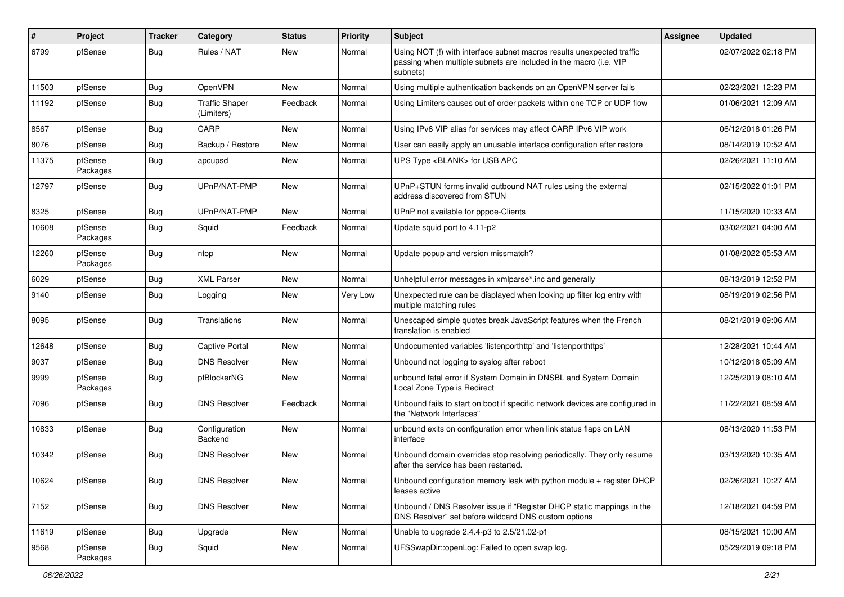| $\#$  | Project             | <b>Tracker</b> | Category                            | <b>Status</b> | <b>Priority</b> | <b>Subject</b>                                                                                                                                         | <b>Assignee</b> | <b>Updated</b>      |
|-------|---------------------|----------------|-------------------------------------|---------------|-----------------|--------------------------------------------------------------------------------------------------------------------------------------------------------|-----------------|---------------------|
| 6799  | pfSense             | Bug            | Rules / NAT                         | New           | Normal          | Using NOT (!) with interface subnet macros results unexpected traffic<br>passing when multiple subnets are included in the macro (i.e. VIP<br>subnets) |                 | 02/07/2022 02:18 PM |
| 11503 | pfSense             | Bug            | OpenVPN                             | New           | Normal          | Using multiple authentication backends on an OpenVPN server fails                                                                                      |                 | 02/23/2021 12:23 PM |
| 11192 | pfSense             | <b>Bug</b>     | <b>Traffic Shaper</b><br>(Limiters) | Feedback      | Normal          | Using Limiters causes out of order packets within one TCP or UDP flow                                                                                  |                 | 01/06/2021 12:09 AM |
| 8567  | pfSense             | <b>Bug</b>     | CARP                                | <b>New</b>    | Normal          | Using IPv6 VIP alias for services may affect CARP IPv6 VIP work                                                                                        |                 | 06/12/2018 01:26 PM |
| 8076  | pfSense             | Bug            | Backup / Restore                    | New           | Normal          | User can easily apply an unusable interface configuration after restore                                                                                |                 | 08/14/2019 10:52 AM |
| 11375 | pfSense<br>Packages | <b>Bug</b>     | apcupsd                             | New           | Normal          | UPS Type <blank> for USB APC</blank>                                                                                                                   |                 | 02/26/2021 11:10 AM |
| 12797 | pfSense             | Bug            | UPnP/NAT-PMP                        | <b>New</b>    | Normal          | UPnP+STUN forms invalid outbound NAT rules using the external<br>address discovered from STUN                                                          |                 | 02/15/2022 01:01 PM |
| 8325  | pfSense             | <b>Bug</b>     | UPnP/NAT-PMP                        | <b>New</b>    | Normal          | UPnP not available for pppoe-Clients                                                                                                                   |                 | 11/15/2020 10:33 AM |
| 10608 | pfSense<br>Packages | Bug            | Squid                               | Feedback      | Normal          | Update squid port to 4.11-p2                                                                                                                           |                 | 03/02/2021 04:00 AM |
| 12260 | pfSense<br>Packages | Bug            | ntop                                | <b>New</b>    | Normal          | Update popup and version missmatch?                                                                                                                    |                 | 01/08/2022 05:53 AM |
| 6029  | pfSense             | <b>Bug</b>     | <b>XML Parser</b>                   | New           | Normal          | Unhelpful error messages in xmlparse*.inc and generally                                                                                                |                 | 08/13/2019 12:52 PM |
| 9140  | pfSense             | <b>Bug</b>     | Logging                             | <b>New</b>    | Very Low        | Unexpected rule can be displayed when looking up filter log entry with<br>multiple matching rules                                                      |                 | 08/19/2019 02:56 PM |
| 8095  | pfSense             | Bug            | Translations                        | <b>New</b>    | Normal          | Unescaped simple quotes break JavaScript features when the French<br>translation is enabled                                                            |                 | 08/21/2019 09:06 AM |
| 12648 | pfSense             | Bug            | Captive Portal                      | New           | Normal          | Undocumented variables 'listenporthttp' and 'listenporthttps'                                                                                          |                 | 12/28/2021 10:44 AM |
| 9037  | pfSense             | Bug            | <b>DNS Resolver</b>                 | New           | Normal          | Unbound not logging to syslog after reboot                                                                                                             |                 | 10/12/2018 05:09 AM |
| 9999  | pfSense<br>Packages | Bug            | pfBlockerNG                         | New           | Normal          | unbound fatal error if System Domain in DNSBL and System Domain<br>Local Zone Type is Redirect                                                         |                 | 12/25/2019 08:10 AM |
| 7096  | pfSense             | Bug            | <b>DNS Resolver</b>                 | Feedback      | Normal          | Unbound fails to start on boot if specific network devices are configured in<br>the "Network Interfaces"                                               |                 | 11/22/2021 08:59 AM |
| 10833 | pfSense             | <b>Bug</b>     | Configuration<br>Backend            | New           | Normal          | unbound exits on configuration error when link status flaps on LAN<br>interface                                                                        |                 | 08/13/2020 11:53 PM |
| 10342 | pfSense             | Bug            | <b>DNS Resolver</b>                 | <b>New</b>    | Normal          | Unbound domain overrides stop resolving periodically. They only resume<br>after the service has been restarted.                                        |                 | 03/13/2020 10:35 AM |
| 10624 | pfSense             | <b>Bug</b>     | <b>DNS Resolver</b>                 | New           | Normal          | Unbound configuration memory leak with python module $+$ register DHCP<br>leases active                                                                |                 | 02/26/2021 10:27 AM |
| 7152  | pfSense             | Bug            | <b>DNS Resolver</b>                 | New           | Normal          | Unbound / DNS Resolver issue if "Register DHCP static mappings in the<br>DNS Resolver" set before wildcard DNS custom options                          |                 | 12/18/2021 04:59 PM |
| 11619 | pfSense             | <b>Bug</b>     | Upgrade                             | New           | Normal          | Unable to upgrade 2.4.4-p3 to 2.5/21.02-p1                                                                                                             |                 | 08/15/2021 10:00 AM |
| 9568  | pfSense<br>Packages | <b>Bug</b>     | Squid                               | New           | Normal          | UFSSwapDir::openLog: Failed to open swap log.                                                                                                          |                 | 05/29/2019 09:18 PM |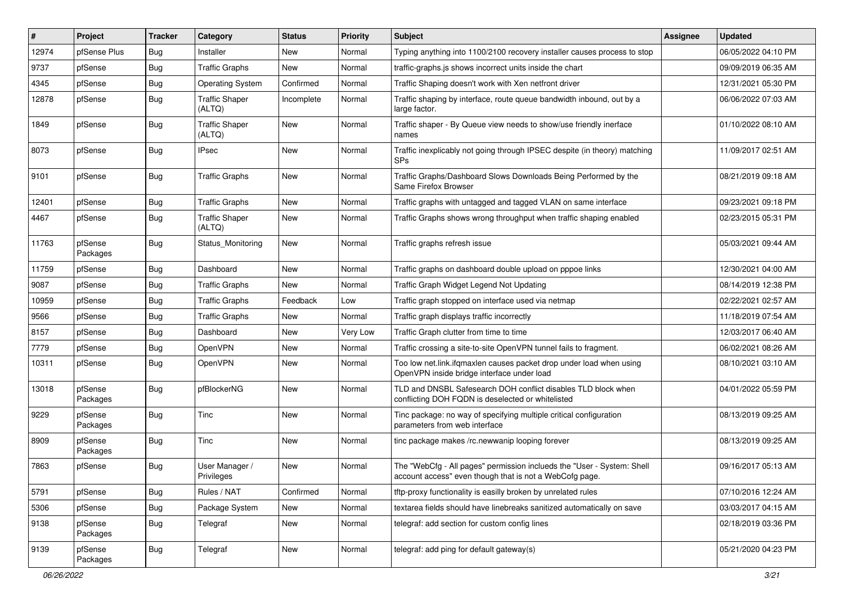| #     | Project             | <b>Tracker</b> | Category                        | <b>Status</b> | <b>Priority</b> | <b>Subject</b>                                                                                                                    | <b>Assignee</b> | <b>Updated</b>      |
|-------|---------------------|----------------|---------------------------------|---------------|-----------------|-----------------------------------------------------------------------------------------------------------------------------------|-----------------|---------------------|
| 12974 | pfSense Plus        | <b>Bug</b>     | Installer                       | New           | Normal          | Typing anything into 1100/2100 recovery installer causes process to stop                                                          |                 | 06/05/2022 04:10 PM |
| 9737  | pfSense             | <b>Bug</b>     | <b>Traffic Graphs</b>           | New           | Normal          | traffic-graphs.js shows incorrect units inside the chart                                                                          |                 | 09/09/2019 06:35 AM |
| 4345  | pfSense             | <b>Bug</b>     | <b>Operating System</b>         | Confirmed     | Normal          | Traffic Shaping doesn't work with Xen netfront driver                                                                             |                 | 12/31/2021 05:30 PM |
| 12878 | pfSense             | Bug            | <b>Traffic Shaper</b><br>(ALTQ) | Incomplete    | Normal          | Traffic shaping by interface, route queue bandwidth inbound, out by a<br>large factor.                                            |                 | 06/06/2022 07:03 AM |
| 1849  | pfSense             | Bug            | <b>Traffic Shaper</b><br>(ALTQ) | New           | Normal          | Traffic shaper - By Queue view needs to show/use friendly inerface<br>names                                                       |                 | 01/10/2022 08:10 AM |
| 8073  | pfSense             | Bug            | <b>IPsec</b>                    | <b>New</b>    | Normal          | Traffic inexplicably not going through IPSEC despite (in theory) matching<br><b>SPs</b>                                           |                 | 11/09/2017 02:51 AM |
| 9101  | pfSense             | <b>Bug</b>     | <b>Traffic Graphs</b>           | New           | Normal          | Traffic Graphs/Dashboard Slows Downloads Being Performed by the<br>Same Firefox Browser                                           |                 | 08/21/2019 09:18 AM |
| 12401 | pfSense             | <b>Bug</b>     | <b>Traffic Graphs</b>           | <b>New</b>    | Normal          | Traffic graphs with untagged and tagged VLAN on same interface                                                                    |                 | 09/23/2021 09:18 PM |
| 4467  | pfSense             | <b>Bug</b>     | <b>Traffic Shaper</b><br>(ALTQ) | <b>New</b>    | Normal          | Traffic Graphs shows wrong throughput when traffic shaping enabled                                                                |                 | 02/23/2015 05:31 PM |
| 11763 | pfSense<br>Packages | <b>Bug</b>     | Status Monitoring               | New           | Normal          | Traffic graphs refresh issue                                                                                                      |                 | 05/03/2021 09:44 AM |
| 11759 | pfSense             | <b>Bug</b>     | Dashboard                       | New           | Normal          | Traffic graphs on dashboard double upload on pppoe links                                                                          |                 | 12/30/2021 04:00 AM |
| 9087  | pfSense             | Bug            | <b>Traffic Graphs</b>           | New           | Normal          | Traffic Graph Widget Legend Not Updating                                                                                          |                 | 08/14/2019 12:38 PM |
| 10959 | pfSense             | <b>Bug</b>     | <b>Traffic Graphs</b>           | Feedback      | Low             | Traffic graph stopped on interface used via netmap                                                                                |                 | 02/22/2021 02:57 AM |
| 9566  | pfSense             | <b>Bug</b>     | <b>Traffic Graphs</b>           | New           | Normal          | Traffic graph displays traffic incorrectly                                                                                        |                 | 11/18/2019 07:54 AM |
| 8157  | pfSense             | <b>Bug</b>     | Dashboard                       | <b>New</b>    | Very Low        | Traffic Graph clutter from time to time                                                                                           |                 | 12/03/2017 06:40 AM |
| 7779  | pfSense             | <b>Bug</b>     | OpenVPN                         | New           | Normal          | Traffic crossing a site-to-site OpenVPN tunnel fails to fragment.                                                                 |                 | 06/02/2021 08:26 AM |
| 10311 | pfSense             | Bug            | OpenVPN                         | New           | Normal          | Too low net.link.ifqmaxlen causes packet drop under load when using<br>OpenVPN inside bridge interface under load                 |                 | 08/10/2021 03:10 AM |
| 13018 | pfSense<br>Packages | <b>Bug</b>     | pfBlockerNG                     | <b>New</b>    | Normal          | TLD and DNSBL Safesearch DOH conflict disables TLD block when<br>conflicting DOH FQDN is deselected or whitelisted                |                 | 04/01/2022 05:59 PM |
| 9229  | pfSense<br>Packages | Bug            | Tinc                            | <b>New</b>    | Normal          | Tinc package: no way of specifying multiple critical configuration<br>parameters from web interface                               |                 | 08/13/2019 09:25 AM |
| 8909  | pfSense<br>Packages | <b>Bug</b>     | Tinc                            | New           | Normal          | tinc package makes /rc.newwanip looping forever                                                                                   |                 | 08/13/2019 09:25 AM |
| 7863  | pfSense             | Bug            | User Manager /<br>Privileges    | New           | Normal          | The "WebCfg - All pages" permission inclueds the "User - System: Shell<br>account access" even though that is not a WebCofg page. |                 | 09/16/2017 05:13 AM |
| 5791  | pfSense             | Bug            | Rules / NAT                     | Confirmed     | Normal          | tftp-proxy functionality is easilly broken by unrelated rules                                                                     |                 | 07/10/2016 12:24 AM |
| 5306  | pfSense             | <b>Bug</b>     | Package System                  | New           | Normal          | textarea fields should have linebreaks sanitized automatically on save                                                            |                 | 03/03/2017 04:15 AM |
| 9138  | pfSense<br>Packages | Bug            | Telegraf                        | New           | Normal          | telegraf: add section for custom config lines                                                                                     |                 | 02/18/2019 03:36 PM |
| 9139  | pfSense<br>Packages | <b>Bug</b>     | Telegraf                        | New           | Normal          | telegraf: add ping for default gateway(s)                                                                                         |                 | 05/21/2020 04:23 PM |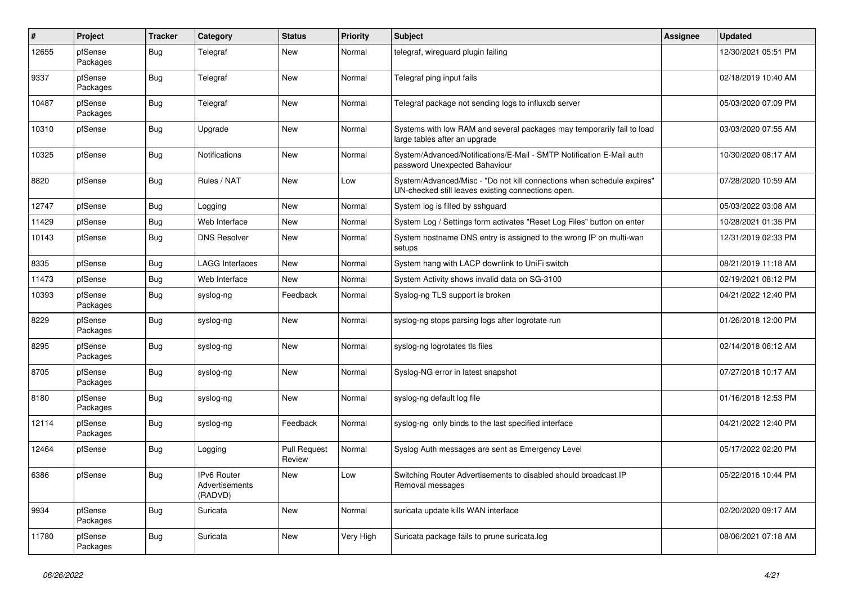| $\vert$ # | Project             | <b>Tracker</b> | Category                                        | <b>Status</b>                 | <b>Priority</b> | <b>Subject</b>                                                                                                               | Assignee | <b>Updated</b>      |
|-----------|---------------------|----------------|-------------------------------------------------|-------------------------------|-----------------|------------------------------------------------------------------------------------------------------------------------------|----------|---------------------|
| 12655     | pfSense<br>Packages | <b>Bug</b>     | Telegraf                                        | <b>New</b>                    | Normal          | telegraf, wireguard plugin failing                                                                                           |          | 12/30/2021 05:51 PM |
| 9337      | pfSense<br>Packages | <b>Bug</b>     | Telegraf                                        | <b>New</b>                    | Normal          | Telegraf ping input fails                                                                                                    |          | 02/18/2019 10:40 AM |
| 10487     | pfSense<br>Packages | <b>Bug</b>     | Telegraf                                        | New                           | Normal          | Telegraf package not sending logs to influxdb server                                                                         |          | 05/03/2020 07:09 PM |
| 10310     | pfSense             | <b>Bug</b>     | Upgrade                                         | <b>New</b>                    | Normal          | Systems with low RAM and several packages may temporarily fail to load<br>large tables after an upgrade                      |          | 03/03/2020 07:55 AM |
| 10325     | pfSense             | <b>Bug</b>     | Notifications                                   | <b>New</b>                    | Normal          | System/Advanced/Notifications/E-Mail - SMTP Notification E-Mail auth<br>password Unexpected Bahaviour                        |          | 10/30/2020 08:17 AM |
| 8820      | pfSense             | <b>Bug</b>     | Rules / NAT                                     | New                           | Low             | System/Advanced/Misc - "Do not kill connections when schedule expires"<br>UN-checked still leaves existing connections open. |          | 07/28/2020 10:59 AM |
| 12747     | pfSense             | <b>Bug</b>     | Logging                                         | <b>New</b>                    | Normal          | System log is filled by sshguard                                                                                             |          | 05/03/2022 03:08 AM |
| 11429     | pfSense             | <b>Bug</b>     | Web Interface                                   | New                           | Normal          | System Log / Settings form activates "Reset Log Files" button on enter                                                       |          | 10/28/2021 01:35 PM |
| 10143     | pfSense             | <b>Bug</b>     | <b>DNS Resolver</b>                             | <b>New</b>                    | Normal          | System hostname DNS entry is assigned to the wrong IP on multi-wan<br>setups                                                 |          | 12/31/2019 02:33 PM |
| 8335      | pfSense             | Bug            | <b>LAGG Interfaces</b>                          | <b>New</b>                    | Normal          | System hang with LACP downlink to UniFi switch                                                                               |          | 08/21/2019 11:18 AM |
| 11473     | pfSense             | Bug            | Web Interface                                   | <b>New</b>                    | Normal          | System Activity shows invalid data on SG-3100                                                                                |          | 02/19/2021 08:12 PM |
| 10393     | pfSense<br>Packages | <b>Bug</b>     | syslog-ng                                       | Feedback                      | Normal          | Syslog-ng TLS support is broken                                                                                              |          | 04/21/2022 12:40 PM |
| 8229      | pfSense<br>Packages | Bug            | syslog-ng                                       | New                           | Normal          | syslog-ng stops parsing logs after logrotate run                                                                             |          | 01/26/2018 12:00 PM |
| 8295      | pfSense<br>Packages | <b>Bug</b>     | syslog-ng                                       | <b>New</b>                    | Normal          | syslog-ng logrotates tls files                                                                                               |          | 02/14/2018 06:12 AM |
| 8705      | pfSense<br>Packages | <b>Bug</b>     | syslog-ng                                       | <b>New</b>                    | Normal          | Syslog-NG error in latest snapshot                                                                                           |          | 07/27/2018 10:17 AM |
| 8180      | pfSense<br>Packages | <b>Bug</b>     | syslog-ng                                       | New                           | Normal          | syslog-ng default log file                                                                                                   |          | 01/16/2018 12:53 PM |
| 12114     | pfSense<br>Packages | <b>Bug</b>     | syslog-ng                                       | Feedback                      | Normal          | syslog-ng only binds to the last specified interface                                                                         |          | 04/21/2022 12:40 PM |
| 12464     | pfSense             | <b>Bug</b>     | Logging                                         | <b>Pull Request</b><br>Review | Normal          | Syslog Auth messages are sent as Emergency Level                                                                             |          | 05/17/2022 02:20 PM |
| 6386      | pfSense             | Bug            | <b>IPv6 Router</b><br>Advertisements<br>(RADVD) | <b>New</b>                    | Low             | Switching Router Advertisements to disabled should broadcast IP<br>Removal messages                                          |          | 05/22/2016 10:44 PM |
| 9934      | pfSense<br>Packages | <b>Bug</b>     | Suricata                                        | <b>New</b>                    | Normal          | suricata update kills WAN interface                                                                                          |          | 02/20/2020 09:17 AM |
| 11780     | pfSense<br>Packages | <b>Bug</b>     | Suricata                                        | New                           | Very High       | Suricata package fails to prune suricata.log                                                                                 |          | 08/06/2021 07:18 AM |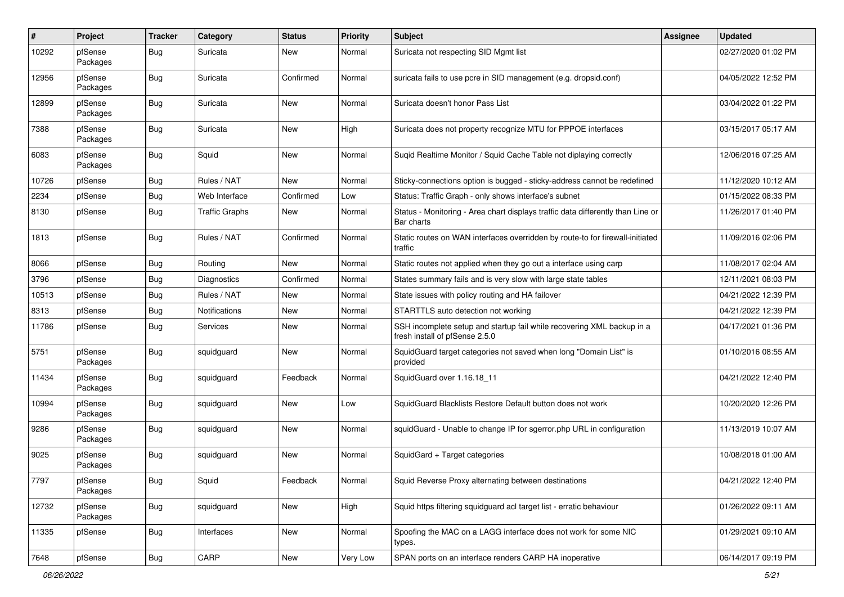| #     | Project             | <b>Tracker</b> | Category              | <b>Status</b> | <b>Priority</b> | <b>Subject</b>                                                                                           | <b>Assignee</b> | <b>Updated</b>      |
|-------|---------------------|----------------|-----------------------|---------------|-----------------|----------------------------------------------------------------------------------------------------------|-----------------|---------------------|
| 10292 | pfSense<br>Packages | Bug            | Suricata              | New           | Normal          | Suricata not respecting SID Mgmt list                                                                    |                 | 02/27/2020 01:02 PM |
| 12956 | pfSense<br>Packages | Bug            | Suricata              | Confirmed     | Normal          | suricata fails to use pcre in SID management (e.g. dropsid.conf)                                         |                 | 04/05/2022 12:52 PM |
| 12899 | pfSense<br>Packages | Bug            | Suricata              | <b>New</b>    | Normal          | Suricata doesn't honor Pass List                                                                         |                 | 03/04/2022 01:22 PM |
| 7388  | pfSense<br>Packages | Bug            | Suricata              | New           | High            | Suricata does not property recognize MTU for PPPOE interfaces                                            |                 | 03/15/2017 05:17 AM |
| 6083  | pfSense<br>Packages | Bug            | Squid                 | <b>New</b>    | Normal          | Suqid Realtime Monitor / Squid Cache Table not diplaying correctly                                       |                 | 12/06/2016 07:25 AM |
| 10726 | pfSense             | Bug            | Rules / NAT           | New           | Normal          | Sticky-connections option is bugged - sticky-address cannot be redefined                                 |                 | 11/12/2020 10:12 AM |
| 2234  | pfSense             | <b>Bug</b>     | Web Interface         | Confirmed     | Low             | Status: Traffic Graph - only shows interface's subnet                                                    |                 | 01/15/2022 08:33 PM |
| 8130  | pfSense             | Bug            | <b>Traffic Graphs</b> | <b>New</b>    | Normal          | Status - Monitoring - Area chart displays traffic data differently than Line or<br>Bar charts            |                 | 11/26/2017 01:40 PM |
| 1813  | pfSense             | Bug            | Rules / NAT           | Confirmed     | Normal          | Static routes on WAN interfaces overridden by route-to for firewall-initiated<br>traffic                 |                 | 11/09/2016 02:06 PM |
| 8066  | pfSense             | Bug            | Routing               | <b>New</b>    | Normal          | Static routes not applied when they go out a interface using carp                                        |                 | 11/08/2017 02:04 AM |
| 3796  | pfSense             | Bug            | Diagnostics           | Confirmed     | Normal          | States summary fails and is very slow with large state tables                                            |                 | 12/11/2021 08:03 PM |
| 10513 | pfSense             | Bug            | Rules / NAT           | New           | Normal          | State issues with policy routing and HA failover                                                         |                 | 04/21/2022 12:39 PM |
| 8313  | pfSense             | Bug            | <b>Notifications</b>  | New           | Normal          | STARTTLS auto detection not working                                                                      |                 | 04/21/2022 12:39 PM |
| 11786 | pfSense             | Bug            | <b>Services</b>       | New           | Normal          | SSH incomplete setup and startup fail while recovering XML backup in a<br>fresh install of pfSense 2.5.0 |                 | 04/17/2021 01:36 PM |
| 5751  | pfSense<br>Packages | Bug            | squidguard            | New           | Normal          | SquidGuard target categories not saved when long "Domain List" is<br>provided                            |                 | 01/10/2016 08:55 AM |
| 11434 | pfSense<br>Packages | Bug            | squidguard            | Feedback      | Normal          | SquidGuard over 1.16.18_11                                                                               |                 | 04/21/2022 12:40 PM |
| 10994 | pfSense<br>Packages | Bug            | squidguard            | <b>New</b>    | Low             | SquidGuard Blacklists Restore Default button does not work                                               |                 | 10/20/2020 12:26 PM |
| 9286  | pfSense<br>Packages | Bug            | squidguard            | <b>New</b>    | Normal          | squidGuard - Unable to change IP for sgerror.php URL in configuration                                    |                 | 11/13/2019 10:07 AM |
| 9025  | pfSense<br>Packages | Bug            | squidguard            | New           | Normal          | SquidGard + Target categories                                                                            |                 | 10/08/2018 01:00 AM |
| 7797  | pfSense<br>Packages | <b>Bug</b>     | Squid                 | Feedback      | Normal          | Squid Reverse Proxy alternating between destinations                                                     |                 | 04/21/2022 12:40 PM |
| 12732 | pfSense<br>Packages | <b>Bug</b>     | squidguard            | New           | High            | Squid https filtering squidguard acl target list - erratic behaviour                                     |                 | 01/26/2022 09:11 AM |
| 11335 | pfSense             | <b>Bug</b>     | Interfaces            | New           | Normal          | Spoofing the MAC on a LAGG interface does not work for some NIC<br>types.                                |                 | 01/29/2021 09:10 AM |
| 7648  | pfSense             | <b>Bug</b>     | CARP                  | New           | Very Low        | SPAN ports on an interface renders CARP HA inoperative                                                   |                 | 06/14/2017 09:19 PM |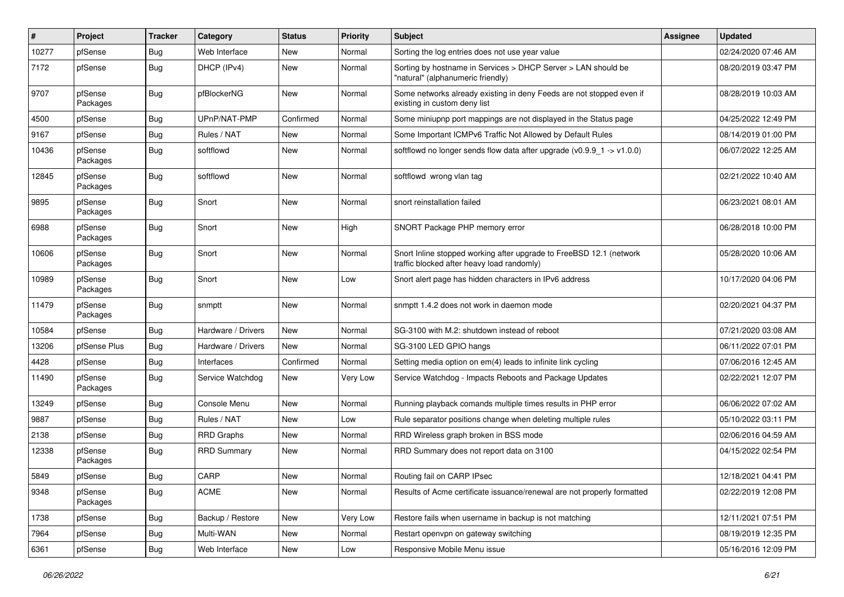| #     | Project             | <b>Tracker</b> | Category           | <b>Status</b> | <b>Priority</b> | <b>Subject</b>                                                                                                    | Assignee | <b>Updated</b>      |
|-------|---------------------|----------------|--------------------|---------------|-----------------|-------------------------------------------------------------------------------------------------------------------|----------|---------------------|
| 10277 | pfSense             | Bug            | Web Interface      | New           | Normal          | Sorting the log entries does not use year value                                                                   |          | 02/24/2020 07:46 AM |
| 7172  | pfSense             | Bug            | DHCP (IPv4)        | <b>New</b>    | Normal          | Sorting by hostname in Services > DHCP Server > LAN should be<br>"natural" (alphanumeric friendly)                |          | 08/20/2019 03:47 PM |
| 9707  | pfSense<br>Packages | Bug            | pfBlockerNG        | <b>New</b>    | Normal          | Some networks already existing in deny Feeds are not stopped even if<br>existing in custom deny list              |          | 08/28/2019 10:03 AM |
| 4500  | pfSense             | <b>Bug</b>     | UPnP/NAT-PMP       | Confirmed     | Normal          | Some miniupnp port mappings are not displayed in the Status page                                                  |          | 04/25/2022 12:49 PM |
| 9167  | pfSense             | Bug            | Rules / NAT        | New           | Normal          | Some Important ICMPv6 Traffic Not Allowed by Default Rules                                                        |          | 08/14/2019 01:00 PM |
| 10436 | pfSense<br>Packages | Bug            | softflowd          | <b>New</b>    | Normal          | softflowd no longer sends flow data after upgrade $(v0.9.9 - 1 > v1.0.0)$                                         |          | 06/07/2022 12:25 AM |
| 12845 | pfSense<br>Packages | Bug            | softflowd          | <b>New</b>    | Normal          | softflowd wrong vlan tag                                                                                          |          | 02/21/2022 10:40 AM |
| 9895  | pfSense<br>Packages | Bug            | Snort              | <b>New</b>    | Normal          | snort reinstallation failed                                                                                       |          | 06/23/2021 08:01 AM |
| 6988  | pfSense<br>Packages | Bug            | Snort              | <b>New</b>    | High            | SNORT Package PHP memory error                                                                                    |          | 06/28/2018 10:00 PM |
| 10606 | pfSense<br>Packages | Bug            | Snort              | <b>New</b>    | Normal          | Snort Inline stopped working after upgrade to FreeBSD 12.1 (network<br>traffic blocked after heavy load randomly) |          | 05/28/2020 10:06 AM |
| 10989 | pfSense<br>Packages | Bug            | Snort              | New           | Low             | Snort alert page has hidden characters in IPv6 address                                                            |          | 10/17/2020 04:06 PM |
| 11479 | pfSense<br>Packages | Bug            | snmptt             | <b>New</b>    | Normal          | snmptt 1.4.2 does not work in daemon mode                                                                         |          | 02/20/2021 04:37 PM |
| 10584 | pfSense             | Bug            | Hardware / Drivers | <b>New</b>    | Normal          | SG-3100 with M.2: shutdown instead of reboot                                                                      |          | 07/21/2020 03:08 AM |
| 13206 | pfSense Plus        | <b>Bug</b>     | Hardware / Drivers | New           | Normal          | SG-3100 LED GPIO hangs                                                                                            |          | 06/11/2022 07:01 PM |
| 4428  | pfSense             | Bug            | Interfaces         | Confirmed     | Normal          | Setting media option on em(4) leads to infinite link cycling                                                      |          | 07/06/2016 12:45 AM |
| 11490 | pfSense<br>Packages | <b>Bug</b>     | Service Watchdog   | New           | Very Low        | Service Watchdog - Impacts Reboots and Package Updates                                                            |          | 02/22/2021 12:07 PM |
| 13249 | pfSense             | <b>Bug</b>     | Console Menu       | New           | Normal          | Running playback comands multiple times results in PHP error                                                      |          | 06/06/2022 07:02 AM |
| 9887  | pfSense             | <b>Bug</b>     | Rules / NAT        | New           | Low             | Rule separator positions change when deleting multiple rules                                                      |          | 05/10/2022 03:11 PM |
| 2138  | pfSense             | <b>Bug</b>     | <b>RRD Graphs</b>  | New           | Normal          | RRD Wireless graph broken in BSS mode                                                                             |          | 02/06/2016 04:59 AM |
| 12338 | pfSense<br>Packages | Bug            | <b>RRD Summary</b> | <b>New</b>    | Normal          | RRD Summary does not report data on 3100                                                                          |          | 04/15/2022 02:54 PM |
| 5849  | pfSense             | <b>Bug</b>     | CARP               | New           | Normal          | Routing fail on CARP IPsec                                                                                        |          | 12/18/2021 04:41 PM |
| 9348  | pfSense<br>Packages | Bug            | <b>ACME</b>        | New           | Normal          | Results of Acme certificate issuance/renewal are not properly formatted                                           |          | 02/22/2019 12:08 PM |
| 1738  | pfSense             | <b>Bug</b>     | Backup / Restore   | New           | Very Low        | Restore fails when username in backup is not matching                                                             |          | 12/11/2021 07:51 PM |
| 7964  | pfSense             | <b>Bug</b>     | Multi-WAN          | New           | Normal          | Restart openvpn on gateway switching                                                                              |          | 08/19/2019 12:35 PM |
| 6361  | pfSense             | <b>Bug</b>     | Web Interface      | New           | Low             | Responsive Mobile Menu issue                                                                                      |          | 05/16/2016 12:09 PM |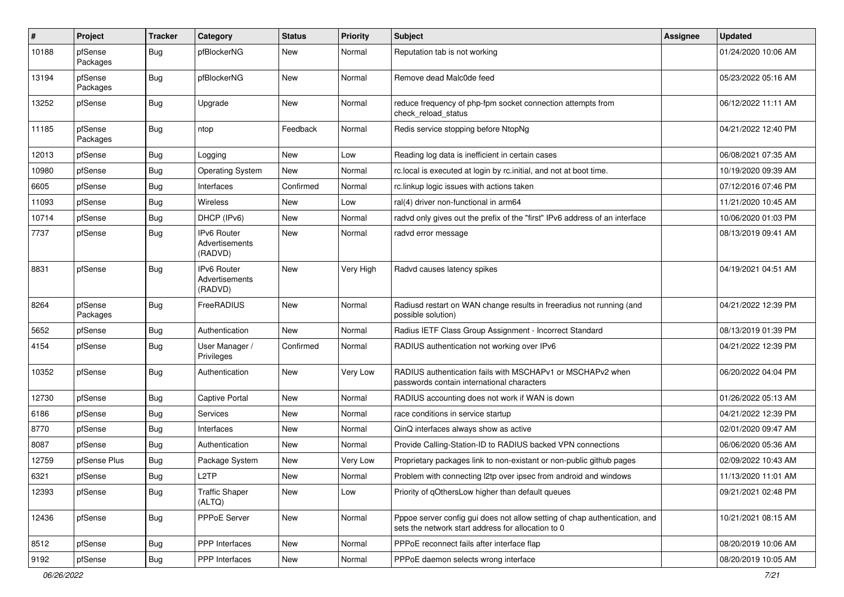| $\sharp$ | Project             | <b>Tracker</b> | Category                                        | <b>Status</b> | <b>Priority</b> | <b>Subject</b>                                                                                                                   | <b>Assignee</b> | <b>Updated</b>      |
|----------|---------------------|----------------|-------------------------------------------------|---------------|-----------------|----------------------------------------------------------------------------------------------------------------------------------|-----------------|---------------------|
| 10188    | pfSense<br>Packages | Bug            | pfBlockerNG                                     | New           | Normal          | Reputation tab is not working                                                                                                    |                 | 01/24/2020 10:06 AM |
| 13194    | pfSense<br>Packages | Bug            | pfBlockerNG                                     | <b>New</b>    | Normal          | Remove dead Malc0de feed                                                                                                         |                 | 05/23/2022 05:16 AM |
| 13252    | pfSense             | <b>Bug</b>     | Upgrade                                         | <b>New</b>    | Normal          | reduce frequency of php-fpm socket connection attempts from<br>check_reload_status                                               |                 | 06/12/2022 11:11 AM |
| 11185    | pfSense<br>Packages | Bug            | ntop                                            | Feedback      | Normal          | Redis service stopping before NtopNg                                                                                             |                 | 04/21/2022 12:40 PM |
| 12013    | pfSense             | Bug            | Logging                                         | <b>New</b>    | Low             | Reading log data is inefficient in certain cases                                                                                 |                 | 06/08/2021 07:35 AM |
| 10980    | pfSense             | Bug            | <b>Operating System</b>                         | New           | Normal          | rc.local is executed at login by rc.initial, and not at boot time.                                                               |                 | 10/19/2020 09:39 AM |
| 6605     | pfSense             | <b>Bug</b>     | Interfaces                                      | Confirmed     | Normal          | rc.linkup logic issues with actions taken                                                                                        |                 | 07/12/2016 07:46 PM |
| 11093    | pfSense             | <b>Bug</b>     | Wireless                                        | New           | Low             | ral(4) driver non-functional in arm64                                                                                            |                 | 11/21/2020 10:45 AM |
| 10714    | pfSense             | Bug            | DHCP (IPv6)                                     | <b>New</b>    | Normal          | radvd only gives out the prefix of the "first" IPv6 address of an interface                                                      |                 | 10/06/2020 01:03 PM |
| 7737     | pfSense             | Bug            | IPv6 Router<br>Advertisements<br>(RADVD)        | New           | Normal          | radvd error message                                                                                                              |                 | 08/13/2019 09:41 AM |
| 8831     | pfSense             | Bug            | <b>IPv6 Router</b><br>Advertisements<br>(RADVD) | <b>New</b>    | Very High       | Radvd causes latency spikes                                                                                                      |                 | 04/19/2021 04:51 AM |
| 8264     | pfSense<br>Packages | Bug            | FreeRADIUS                                      | <b>New</b>    | Normal          | Radiusd restart on WAN change results in freeradius not running (and<br>possible solution)                                       |                 | 04/21/2022 12:39 PM |
| 5652     | pfSense             | Bug            | Authentication                                  | <b>New</b>    | Normal          | Radius IETF Class Group Assignment - Incorrect Standard                                                                          |                 | 08/13/2019 01:39 PM |
| 4154     | pfSense             | <b>Bug</b>     | User Manager /<br>Privileges                    | Confirmed     | Normal          | RADIUS authentication not working over IPv6                                                                                      |                 | 04/21/2022 12:39 PM |
| 10352    | pfSense             | Bug            | Authentication                                  | <b>New</b>    | Very Low        | RADIUS authentication fails with MSCHAPv1 or MSCHAPv2 when<br>passwords contain international characters                         |                 | 06/20/2022 04:04 PM |
| 12730    | pfSense             | Bug            | <b>Captive Portal</b>                           | <b>New</b>    | Normal          | RADIUS accounting does not work if WAN is down                                                                                   |                 | 01/26/2022 05:13 AM |
| 6186     | pfSense             | Bug            | Services                                        | New           | Normal          | race conditions in service startup                                                                                               |                 | 04/21/2022 12:39 PM |
| 8770     | pfSense             | Bug            | Interfaces                                      | <b>New</b>    | Normal          | QinQ interfaces always show as active                                                                                            |                 | 02/01/2020 09:47 AM |
| 8087     | pfSense             | <b>Bug</b>     | Authentication                                  | New           | Normal          | Provide Calling-Station-ID to RADIUS backed VPN connections                                                                      |                 | 06/06/2020 05:36 AM |
| 12759    | pfSense Plus        | <b>Bug</b>     | Package System                                  | New           | Very Low        | Proprietary packages link to non-existant or non-public github pages                                                             |                 | 02/09/2022 10:43 AM |
| 6321     | pfSense             | j Bug          | L <sub>2</sub> TP                               | New           | Normal          | Problem with connecting I2tp over ipsec from android and windows                                                                 |                 | 11/13/2020 11:01 AM |
| 12393    | pfSense             | <b>Bug</b>     | <b>Traffic Shaper</b><br>(ALTQ)                 | New           | Low             | Priority of gOthersLow higher than default queues                                                                                |                 | 09/21/2021 02:48 PM |
| 12436    | pfSense             | <b>Bug</b>     | PPPoE Server                                    | New           | Normal          | Pppoe server config gui does not allow setting of chap authentication, and<br>sets the network start address for allocation to 0 |                 | 10/21/2021 08:15 AM |
| 8512     | pfSense             | <b>Bug</b>     | <b>PPP</b> Interfaces                           | New           | Normal          | PPPoE reconnect fails after interface flap                                                                                       |                 | 08/20/2019 10:06 AM |
| 9192     | pfSense             | <b>Bug</b>     | PPP Interfaces                                  | New           | Normal          | PPPoE daemon selects wrong interface                                                                                             |                 | 08/20/2019 10:05 AM |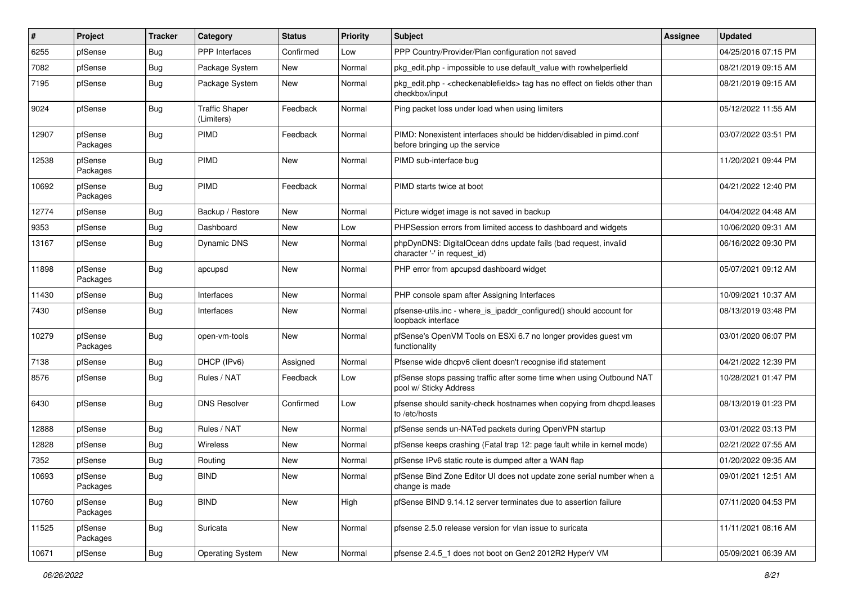| #     | Project             | Tracker    | Category                            | <b>Status</b> | <b>Priority</b> | <b>Subject</b>                                                                                        | <b>Assignee</b> | <b>Updated</b>      |
|-------|---------------------|------------|-------------------------------------|---------------|-----------------|-------------------------------------------------------------------------------------------------------|-----------------|---------------------|
| 6255  | pfSense             | <b>Bug</b> | PPP Interfaces                      | Confirmed     | Low             | PPP Country/Provider/Plan configuration not saved                                                     |                 | 04/25/2016 07:15 PM |
| 7082  | pfSense             | <b>Bug</b> | Package System                      | New           | Normal          | pkg_edit.php - impossible to use default_value with rowhelperfield                                    |                 | 08/21/2019 09:15 AM |
| 7195  | pfSense             | <b>Bug</b> | Package System                      | New           | Normal          | pkg_edit.php - < checkenablefields > tag has no effect on fields other than<br>checkbox/input         |                 | 08/21/2019 09:15 AM |
| 9024  | pfSense             | Bug        | <b>Traffic Shaper</b><br>(Limiters) | Feedback      | Normal          | Ping packet loss under load when using limiters                                                       |                 | 05/12/2022 11:55 AM |
| 12907 | pfSense<br>Packages | <b>Bug</b> | <b>PIMD</b>                         | Feedback      | Normal          | PIMD: Nonexistent interfaces should be hidden/disabled in pimd.conf<br>before bringing up the service |                 | 03/07/2022 03:51 PM |
| 12538 | pfSense<br>Packages | Bug        | PIMD                                | New           | Normal          | PIMD sub-interface bug                                                                                |                 | 11/20/2021 09:44 PM |
| 10692 | pfSense<br>Packages | Bug        | PIMD                                | Feedback      | Normal          | PIMD starts twice at boot                                                                             |                 | 04/21/2022 12:40 PM |
| 12774 | pfSense             | Bug        | Backup / Restore                    | New           | Normal          | Picture widget image is not saved in backup                                                           |                 | 04/04/2022 04:48 AM |
| 9353  | pfSense             | <b>Bug</b> | Dashboard                           | New           | Low             | PHPSession errors from limited access to dashboard and widgets                                        |                 | 10/06/2020 09:31 AM |
| 13167 | pfSense             | <b>Bug</b> | Dynamic DNS                         | New           | Normal          | phpDynDNS: DigitalOcean ddns update fails (bad request, invalid<br>character '-' in request_id)       |                 | 06/16/2022 09:30 PM |
| 11898 | pfSense<br>Packages | Bug        | apcupsd                             | New           | Normal          | PHP error from apcupsd dashboard widget                                                               |                 | 05/07/2021 09:12 AM |
| 11430 | pfSense             | Bug        | Interfaces                          | New           | Normal          | PHP console spam after Assigning Interfaces                                                           |                 | 10/09/2021 10:37 AM |
| 7430  | pfSense             | <b>Bug</b> | Interfaces                          | <b>New</b>    | Normal          | pfsense-utils.inc - where_is_ipaddr_configured() should account for<br>loopback interface             |                 | 08/13/2019 03:48 PM |
| 10279 | pfSense<br>Packages | Bug        | open-vm-tools                       | New           | Normal          | pfSense's OpenVM Tools on ESXi 6.7 no longer provides guest vm<br>functionality                       |                 | 03/01/2020 06:07 PM |
| 7138  | pfSense             | Bug        | DHCP (IPv6)                         | Assigned      | Normal          | Pfsense wide dhcpv6 client doesn't recognise ifid statement                                           |                 | 04/21/2022 12:39 PM |
| 8576  | pfSense             | <b>Bug</b> | Rules / NAT                         | Feedback      | Low             | pfSense stops passing traffic after some time when using Outbound NAT<br>pool w/ Sticky Address       |                 | 10/28/2021 01:47 PM |
| 6430  | pfSense             | Bug        | <b>DNS Resolver</b>                 | Confirmed     | Low             | pfsense should sanity-check hostnames when copying from dhcpd.leases<br>to /etc/hosts                 |                 | 08/13/2019 01:23 PM |
| 12888 | pfSense             | <b>Bug</b> | Rules / NAT                         | New           | Normal          | pfSense sends un-NATed packets during OpenVPN startup                                                 |                 | 03/01/2022 03:13 PM |
| 12828 | pfSense             | Bug        | <b>Wireless</b>                     | New           | Normal          | pfSense keeps crashing (Fatal trap 12: page fault while in kernel mode)                               |                 | 02/21/2022 07:55 AM |
| 7352  | pfSense             | <b>Bug</b> | Routing                             | New           | Normal          | pfSense IPv6 static route is dumped after a WAN flap                                                  |                 | 01/20/2022 09:35 AM |
| 10693 | pfSense<br>Packages | Bug        | <b>BIND</b>                         | New           | Normal          | pfSense Bind Zone Editor UI does not update zone serial number when a<br>change is made               |                 | 09/01/2021 12:51 AM |
| 10760 | pfSense<br>Packages | Bug        | <b>BIND</b>                         | New           | High            | pfSense BIND 9.14.12 server terminates due to assertion failure                                       |                 | 07/11/2020 04:53 PM |
| 11525 | pfSense<br>Packages | <b>Bug</b> | Suricata                            | New           | Normal          | pfsense 2.5.0 release version for vlan issue to suricata                                              |                 | 11/11/2021 08:16 AM |
| 10671 | pfSense             | Bug        | <b>Operating System</b>             | New           | Normal          | pfsense 2.4.5_1 does not boot on Gen2 2012R2 HyperV VM                                                |                 | 05/09/2021 06:39 AM |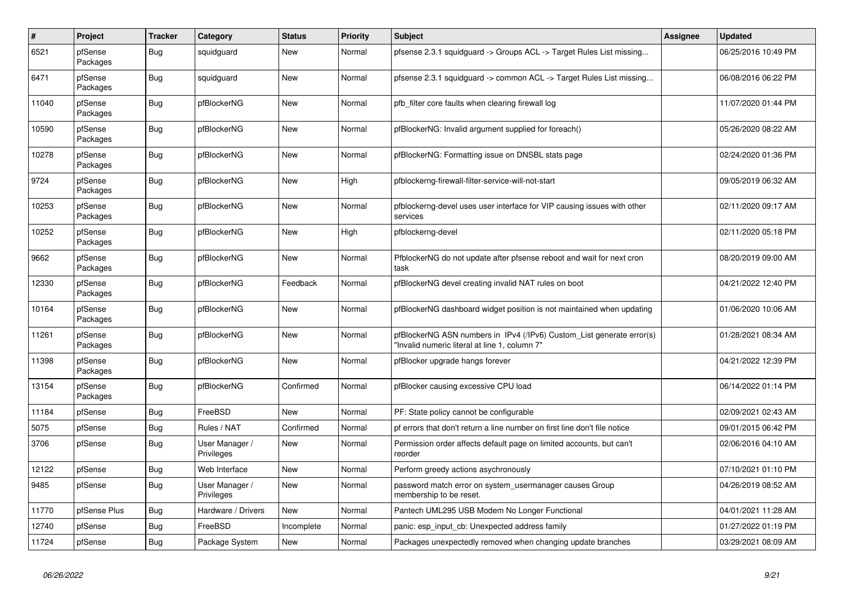| $\sharp$ | <b>Project</b>      | <b>Tracker</b> | Category                     | <b>Status</b> | <b>Priority</b> | <b>Subject</b>                                                                                                         | Assignee | Updated             |
|----------|---------------------|----------------|------------------------------|---------------|-----------------|------------------------------------------------------------------------------------------------------------------------|----------|---------------------|
| 6521     | pfSense<br>Packages | Bug            | squidguard                   | New           | Normal          | pfsense 2.3.1 squidguard -> Groups ACL -> Target Rules List missing                                                    |          | 06/25/2016 10:49 PM |
| 6471     | pfSense<br>Packages | Bug            | squidguard                   | <b>New</b>    | Normal          | pfsense 2.3.1 squidguard -> common ACL -> Target Rules List missing                                                    |          | 06/08/2016 06:22 PM |
| 11040    | pfSense<br>Packages | Bug            | pfBlockerNG                  | <b>New</b>    | Normal          | pfb filter core faults when clearing firewall log                                                                      |          | 11/07/2020 01:44 PM |
| 10590    | pfSense<br>Packages | Bug            | pfBlockerNG                  | New           | Normal          | pfBlockerNG: Invalid argument supplied for foreach()                                                                   |          | 05/26/2020 08:22 AM |
| 10278    | pfSense<br>Packages | Bug            | pfBlockerNG                  | New           | Normal          | pfBlockerNG: Formatting issue on DNSBL stats page                                                                      |          | 02/24/2020 01:36 PM |
| 9724     | pfSense<br>Packages | <b>Bug</b>     | pfBlockerNG                  | New           | High            | pfblockerng-firewall-filter-service-will-not-start                                                                     |          | 09/05/2019 06:32 AM |
| 10253    | pfSense<br>Packages | Bug            | pfBlockerNG                  | New           | Normal          | pfblockerng-devel uses user interface for VIP causing issues with other<br>services                                    |          | 02/11/2020 09:17 AM |
| 10252    | pfSense<br>Packages | Bug            | pfBlockerNG                  | <b>New</b>    | High            | pfblockerng-devel                                                                                                      |          | 02/11/2020 05:18 PM |
| 9662     | pfSense<br>Packages | <b>Bug</b>     | pfBlockerNG                  | New           | Normal          | PfblockerNG do not update after pfsense reboot and wait for next cron<br>task                                          |          | 08/20/2019 09:00 AM |
| 12330    | pfSense<br>Packages | Bug            | pfBlockerNG                  | Feedback      | Normal          | pfBlockerNG devel creating invalid NAT rules on boot                                                                   |          | 04/21/2022 12:40 PM |
| 10164    | pfSense<br>Packages | Bug            | pfBlockerNG                  | New           | Normal          | pfBlockerNG dashboard widget position is not maintained when updating                                                  |          | 01/06/2020 10:06 AM |
| 11261    | pfSense<br>Packages | Bug            | pfBlockerNG                  | <b>New</b>    | Normal          | pfBlockerNG ASN numbers in IPv4 (/IPv6) Custom_List generate error(s)<br>'Invalid numeric literal at line 1, column 7" |          | 01/28/2021 08:34 AM |
| 11398    | pfSense<br>Packages | <b>Bug</b>     | pfBlockerNG                  | <b>New</b>    | Normal          | pfBlocker upgrade hangs forever                                                                                        |          | 04/21/2022 12:39 PM |
| 13154    | pfSense<br>Packages | <b>Bug</b>     | pfBlockerNG                  | Confirmed     | Normal          | pfBlocker causing excessive CPU load                                                                                   |          | 06/14/2022 01:14 PM |
| 11184    | pfSense             | Bug            | FreeBSD                      | New           | Normal          | PF: State policy cannot be configurable                                                                                |          | 02/09/2021 02:43 AM |
| 5075     | pfSense             | <b>Bug</b>     | Rules / NAT                  | Confirmed     | Normal          | pf errors that don't return a line number on first line don't file notice                                              |          | 09/01/2015 06:42 PM |
| 3706     | pfSense             | Bug            | User Manager /<br>Privileges | New           | Normal          | Permission order affects default page on limited accounts, but can't<br>reorder                                        |          | 02/06/2016 04:10 AM |
| 12122    | pfSense             | Bug            | Web Interface                | New           | Normal          | Perform greedy actions asychronously                                                                                   |          | 07/10/2021 01:10 PM |
| 9485     | pfSense             | Bug            | User Manager /<br>Privileges | New           | Normal          | password match error on system usermanager causes Group<br>membership to be reset.                                     |          | 04/26/2019 08:52 AM |
| 11770    | pfSense Plus        | <b>Bug</b>     | Hardware / Drivers           | <b>New</b>    | Normal          | Pantech UML295 USB Modem No Longer Functional                                                                          |          | 04/01/2021 11:28 AM |
| 12740    | pfSense             | <b>Bug</b>     | FreeBSD                      | Incomplete    | Normal          | panic: esp_input_cb: Unexpected address family                                                                         |          | 01/27/2022 01:19 PM |
| 11724    | pfSense             | Bug            | Package System               | New           | Normal          | Packages unexpectedly removed when changing update branches                                                            |          | 03/29/2021 08:09 AM |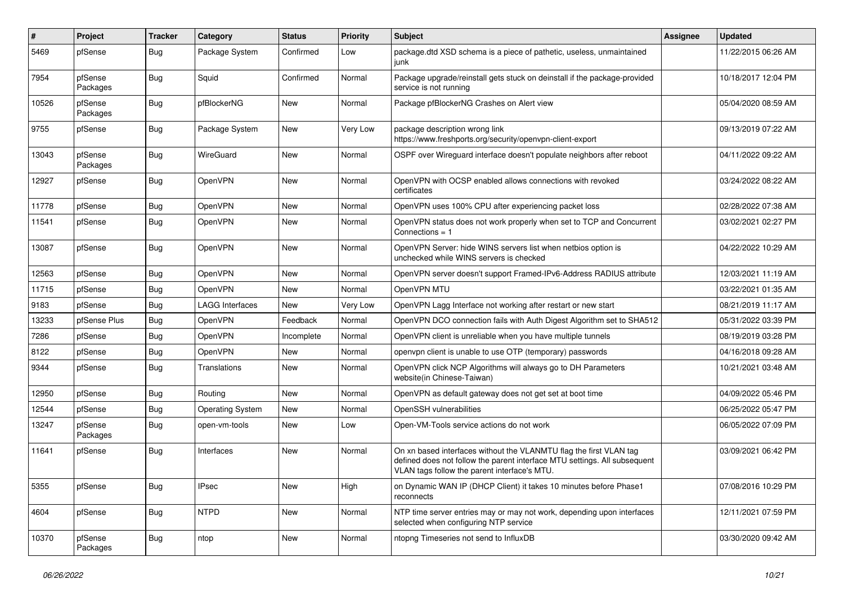| $\#$  | Project             | Tracker    | Category                | <b>Status</b> | <b>Priority</b> | Subject                                                                                                                                                                                         | <b>Assignee</b> | <b>Updated</b>      |
|-------|---------------------|------------|-------------------------|---------------|-----------------|-------------------------------------------------------------------------------------------------------------------------------------------------------------------------------------------------|-----------------|---------------------|
| 5469  | pfSense             | <b>Bug</b> | Package System          | Confirmed     | Low             | package.dtd XSD schema is a piece of pathetic, useless, unmaintained<br>junk                                                                                                                    |                 | 11/22/2015 06:26 AM |
| 7954  | pfSense<br>Packages | Bug        | Squid                   | Confirmed     | Normal          | Package upgrade/reinstall gets stuck on deinstall if the package-provided<br>service is not running                                                                                             |                 | 10/18/2017 12:04 PM |
| 10526 | pfSense<br>Packages | Bug        | pfBlockerNG             | <b>New</b>    | Normal          | Package pfBlockerNG Crashes on Alert view                                                                                                                                                       |                 | 05/04/2020 08:59 AM |
| 9755  | pfSense             | Bug        | Package System          | New           | Very Low        | package description wrong link<br>https://www.freshports.org/security/openvpn-client-export                                                                                                     |                 | 09/13/2019 07:22 AM |
| 13043 | pfSense<br>Packages | <b>Bug</b> | WireGuard               | <b>New</b>    | Normal          | OSPF over Wireguard interface doesn't populate neighbors after reboot                                                                                                                           |                 | 04/11/2022 09:22 AM |
| 12927 | pfSense             | Bug        | OpenVPN                 | New           | Normal          | OpenVPN with OCSP enabled allows connections with revoked<br>certificates                                                                                                                       |                 | 03/24/2022 08:22 AM |
| 11778 | pfSense             | Bug        | OpenVPN                 | <b>New</b>    | Normal          | OpenVPN uses 100% CPU after experiencing packet loss                                                                                                                                            |                 | 02/28/2022 07:38 AM |
| 11541 | pfSense             | Bug        | OpenVPN                 | New           | Normal          | OpenVPN status does not work properly when set to TCP and Concurrent<br>Connections = 1                                                                                                         |                 | 03/02/2021 02:27 PM |
| 13087 | pfSense             | <b>Bug</b> | OpenVPN                 | <b>New</b>    | Normal          | OpenVPN Server: hide WINS servers list when netbios option is<br>unchecked while WINS servers is checked                                                                                        |                 | 04/22/2022 10:29 AM |
| 12563 | pfSense             | Bug        | OpenVPN                 | <b>New</b>    | Normal          | OpenVPN server doesn't support Framed-IPv6-Address RADIUS attribute                                                                                                                             |                 | 12/03/2021 11:19 AM |
| 11715 | pfSense             | Bug        | OpenVPN                 | New           | Normal          | OpenVPN MTU                                                                                                                                                                                     |                 | 03/22/2021 01:35 AM |
| 9183  | pfSense             | <b>Bug</b> | <b>LAGG Interfaces</b>  | New           | Very Low        | OpenVPN Lagg Interface not working after restart or new start                                                                                                                                   |                 | 08/21/2019 11:17 AM |
| 13233 | pfSense Plus        | Bug        | OpenVPN                 | Feedback      | Normal          | OpenVPN DCO connection fails with Auth Digest Algorithm set to SHA512                                                                                                                           |                 | 05/31/2022 03:39 PM |
| 7286  | pfSense             | <b>Bug</b> | <b>OpenVPN</b>          | Incomplete    | Normal          | OpenVPN client is unreliable when you have multiple tunnels                                                                                                                                     |                 | 08/19/2019 03:28 PM |
| 8122  | pfSense             | <b>Bug</b> | OpenVPN                 | New           | Normal          | openvpn client is unable to use OTP (temporary) passwords                                                                                                                                       |                 | 04/16/2018 09:28 AM |
| 9344  | pfSense             | Bug        | Translations            | New           | Normal          | OpenVPN click NCP Algorithms will always go to DH Parameters<br>website(in Chinese-Taiwan)                                                                                                      |                 | 10/21/2021 03:48 AM |
| 12950 | pfSense             | Bug        | Routing                 | <b>New</b>    | Normal          | OpenVPN as default gateway does not get set at boot time                                                                                                                                        |                 | 04/09/2022 05:46 PM |
| 12544 | pfSense             | Bug        | <b>Operating System</b> | New           | Normal          | OpenSSH vulnerabilities                                                                                                                                                                         |                 | 06/25/2022 05:47 PM |
| 13247 | pfSense<br>Packages | Bug        | open-vm-tools           | New           | Low             | Open-VM-Tools service actions do not work                                                                                                                                                       |                 | 06/05/2022 07:09 PM |
| 11641 | pfSense             | Bug        | Interfaces              | <b>New</b>    | Normal          | On xn based interfaces without the VLANMTU flag the first VLAN tag<br>defined does not follow the parent interface MTU settings. All subsequent<br>VLAN tags follow the parent interface's MTU. |                 | 03/09/2021 06:42 PM |
| 5355  | pfSense             | Bug        | <b>IPsec</b>            | New           | High            | on Dynamic WAN IP (DHCP Client) it takes 10 minutes before Phase1<br>reconnects                                                                                                                 |                 | 07/08/2016 10:29 PM |
| 4604  | pfSense             | Bug        | <b>NTPD</b>             | New           | Normal          | NTP time server entries may or may not work, depending upon interfaces<br>selected when configuring NTP service                                                                                 |                 | 12/11/2021 07:59 PM |
| 10370 | pfSense<br>Packages | Bug        | ntop                    | New           | Normal          | ntopng Timeseries not send to InfluxDB                                                                                                                                                          |                 | 03/30/2020 09:42 AM |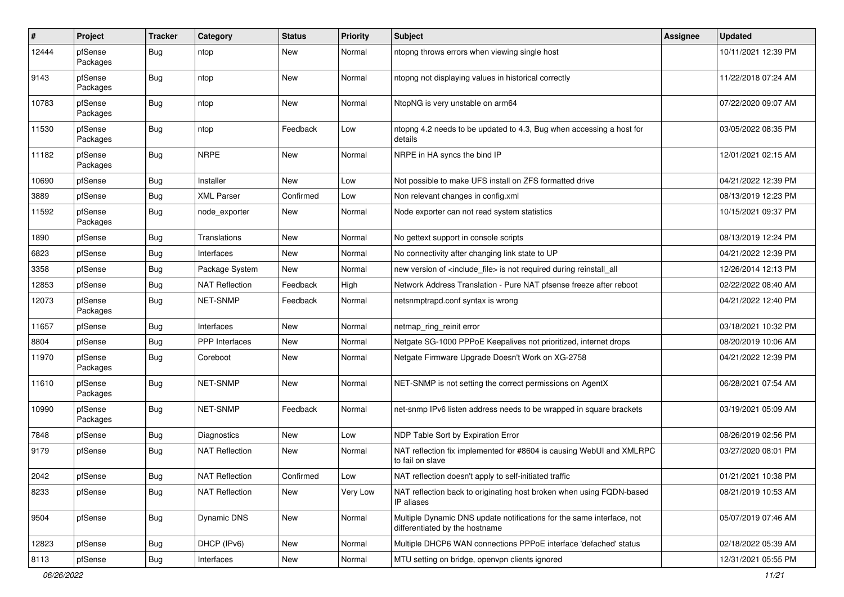| #     | Project             | <b>Tracker</b> | Category              | <b>Status</b> | <b>Priority</b> | <b>Subject</b>                                                                                          | <b>Assignee</b> | <b>Updated</b>      |
|-------|---------------------|----------------|-----------------------|---------------|-----------------|---------------------------------------------------------------------------------------------------------|-----------------|---------------------|
| 12444 | pfSense<br>Packages | <b>Bug</b>     | ntop                  | New           | Normal          | ntopng throws errors when viewing single host                                                           |                 | 10/11/2021 12:39 PM |
| 9143  | pfSense<br>Packages | Bug            | ntop                  | New           | Normal          | ntopng not displaying values in historical correctly                                                    |                 | 11/22/2018 07:24 AM |
| 10783 | pfSense<br>Packages | <b>Bug</b>     | ntop                  | New           | Normal          | NtopNG is very unstable on arm64                                                                        |                 | 07/22/2020 09:07 AM |
| 11530 | pfSense<br>Packages | Bug            | ntop                  | Feedback      | Low             | ntopng 4.2 needs to be updated to 4.3, Bug when accessing a host for<br>details                         |                 | 03/05/2022 08:35 PM |
| 11182 | pfSense<br>Packages | <b>Bug</b>     | <b>NRPE</b>           | <b>New</b>    | Normal          | NRPE in HA syncs the bind IP                                                                            |                 | 12/01/2021 02:15 AM |
| 10690 | pfSense             | <b>Bug</b>     | Installer             | New           | Low             | Not possible to make UFS install on ZFS formatted drive                                                 |                 | 04/21/2022 12:39 PM |
| 3889  | pfSense             | <b>Bug</b>     | <b>XML Parser</b>     | Confirmed     | Low             | Non relevant changes in config.xml                                                                      |                 | 08/13/2019 12:23 PM |
| 11592 | pfSense<br>Packages | <b>Bug</b>     | node exporter         | New           | Normal          | Node exporter can not read system statistics                                                            |                 | 10/15/2021 09:37 PM |
| 1890  | pfSense             | Bug            | Translations          | <b>New</b>    | Normal          | No gettext support in console scripts                                                                   |                 | 08/13/2019 12:24 PM |
| 6823  | pfSense             | Bug            | Interfaces            | <b>New</b>    | Normal          | No connectivity after changing link state to UP                                                         |                 | 04/21/2022 12:39 PM |
| 3358  | pfSense             | Bug            | Package System        | New           | Normal          | new version of <include_file> is not required during reinstall_all</include_file>                       |                 | 12/26/2014 12:13 PM |
| 12853 | pfSense             | Bug            | <b>NAT Reflection</b> | Feedback      | High            | Network Address Translation - Pure NAT pfsense freeze after reboot                                      |                 | 02/22/2022 08:40 AM |
| 12073 | pfSense<br>Packages | Bug            | NET-SNMP              | Feedback      | Normal          | netsnmptrapd.conf syntax is wrong                                                                       |                 | 04/21/2022 12:40 PM |
| 11657 | pfSense             | Bug            | Interfaces            | <b>New</b>    | Normal          | netmap_ring_reinit error                                                                                |                 | 03/18/2021 10:32 PM |
| 8804  | pfSense             | <b>Bug</b>     | <b>PPP</b> Interfaces | New           | Normal          | Netgate SG-1000 PPPoE Keepalives not prioritized, internet drops                                        |                 | 08/20/2019 10:06 AM |
| 11970 | pfSense<br>Packages | Bug            | Coreboot              | New           | Normal          | Netgate Firmware Upgrade Doesn't Work on XG-2758                                                        |                 | 04/21/2022 12:39 PM |
| 11610 | pfSense<br>Packages | Bug            | NET-SNMP              | <b>New</b>    | Normal          | NET-SNMP is not setting the correct permissions on AgentX                                               |                 | 06/28/2021 07:54 AM |
| 10990 | pfSense<br>Packages | <b>Bug</b>     | <b>NET-SNMP</b>       | Feedback      | Normal          | net-snmp IPv6 listen address needs to be wrapped in square brackets                                     |                 | 03/19/2021 05:09 AM |
| 7848  | pfSense             | Bug            | <b>Diagnostics</b>    | <b>New</b>    | Low             | NDP Table Sort by Expiration Error                                                                      |                 | 08/26/2019 02:56 PM |
| 9179  | pfSense             | Bug            | <b>NAT Reflection</b> | <b>New</b>    | Normal          | NAT reflection fix implemented for #8604 is causing WebUI and XMLRPC<br>to fail on slave                |                 | 03/27/2020 08:01 PM |
| 2042  | pfSense             | Bug            | <b>NAT Reflection</b> | Confirmed     | Low             | NAT reflection doesn't apply to self-initiated traffic                                                  |                 | 01/21/2021 10:38 PM |
| 8233  | pfSense             | <b>Bug</b>     | <b>NAT Reflection</b> | New           | Very Low        | NAT reflection back to originating host broken when using FQDN-based<br>IP aliases                      |                 | 08/21/2019 10:53 AM |
| 9504  | pfSense             | <b>Bug</b>     | Dynamic DNS           | New           | Normal          | Multiple Dynamic DNS update notifications for the same interface, not<br>differentiated by the hostname |                 | 05/07/2019 07:46 AM |
| 12823 | pfSense             | <b>Bug</b>     | DHCP (IPv6)           | <b>New</b>    | Normal          | Multiple DHCP6 WAN connections PPPoE interface 'defached' status                                        |                 | 02/18/2022 05:39 AM |
| 8113  | pfSense             | <b>Bug</b>     | Interfaces            | New           | Normal          | MTU setting on bridge, openvpn clients ignored                                                          |                 | 12/31/2021 05:55 PM |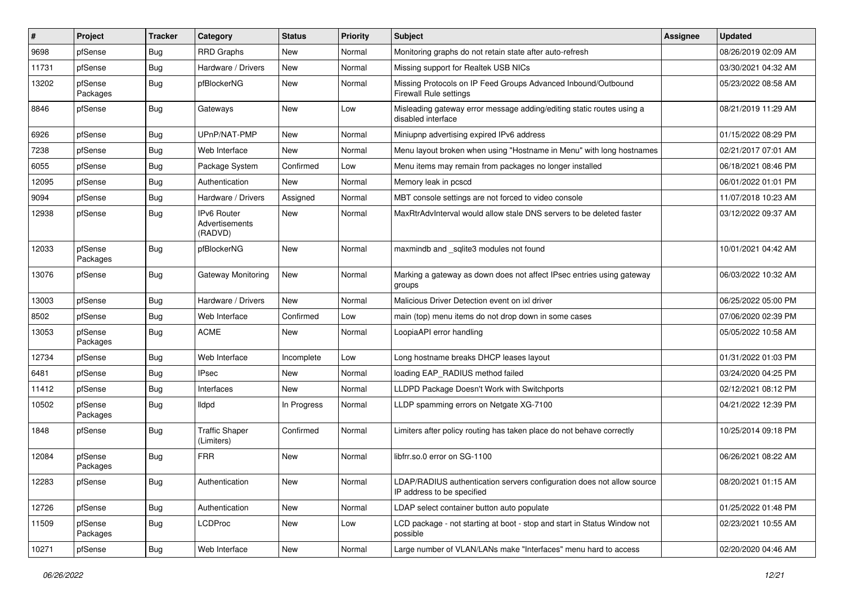| $\#$  | Project             | <b>Tracker</b> | Category                                 | <b>Status</b> | <b>Priority</b> | <b>Subject</b>                                                                                       | <b>Assignee</b> | <b>Updated</b>      |
|-------|---------------------|----------------|------------------------------------------|---------------|-----------------|------------------------------------------------------------------------------------------------------|-----------------|---------------------|
| 9698  | pfSense             | <b>Bug</b>     | <b>RRD Graphs</b>                        | New           | Normal          | Monitoring graphs do not retain state after auto-refresh                                             |                 | 08/26/2019 02:09 AM |
| 11731 | pfSense             | Bug            | Hardware / Drivers                       | <b>New</b>    | Normal          | Missing support for Realtek USB NICs                                                                 |                 | 03/30/2021 04:32 AM |
| 13202 | pfSense<br>Packages | Bug            | pfBlockerNG                              | <b>New</b>    | Normal          | Missing Protocols on IP Feed Groups Advanced Inbound/Outbound<br>Firewall Rule settings              |                 | 05/23/2022 08:58 AM |
| 8846  | pfSense             | Bug            | Gateways                                 | <b>New</b>    | Low             | Misleading gateway error message adding/editing static routes using a<br>disabled interface          |                 | 08/21/2019 11:29 AM |
| 6926  | pfSense             | Bug            | UPnP/NAT-PMP                             | New           | Normal          | Miniupnp advertising expired IPv6 address                                                            |                 | 01/15/2022 08:29 PM |
| 7238  | pfSense             | Bug            | Web Interface                            | <b>New</b>    | Normal          | Menu layout broken when using "Hostname in Menu" with long hostnames                                 |                 | 02/21/2017 07:01 AM |
| 6055  | pfSense             | Bug            | Package System                           | Confirmed     | Low             | Menu items may remain from packages no longer installed                                              |                 | 06/18/2021 08:46 PM |
| 12095 | pfSense             | Bug            | Authentication                           | New           | Normal          | Memory leak in pcscd                                                                                 |                 | 06/01/2022 01:01 PM |
| 9094  | pfSense             | Bug            | Hardware / Drivers                       | Assigned      | Normal          | MBT console settings are not forced to video console                                                 |                 | 11/07/2018 10:23 AM |
| 12938 | pfSense             | Bug            | IPv6 Router<br>Advertisements<br>(RADVD) | <b>New</b>    | Normal          | MaxRtrAdvInterval would allow stale DNS servers to be deleted faster                                 |                 | 03/12/2022 09:37 AM |
| 12033 | pfSense<br>Packages | Bug            | pfBlockerNG                              | <b>New</b>    | Normal          | maxmindb and sqlite3 modules not found                                                               |                 | 10/01/2021 04:42 AM |
| 13076 | pfSense             | Bug            | Gateway Monitoring                       | <b>New</b>    | Normal          | Marking a gateway as down does not affect IPsec entries using gateway<br>groups                      |                 | 06/03/2022 10:32 AM |
| 13003 | pfSense             | Bug            | Hardware / Drivers                       | <b>New</b>    | Normal          | Malicious Driver Detection event on ixl driver                                                       |                 | 06/25/2022 05:00 PM |
| 8502  | pfSense             | Bug            | Web Interface                            | Confirmed     | Low             | main (top) menu items do not drop down in some cases                                                 |                 | 07/06/2020 02:39 PM |
| 13053 | pfSense<br>Packages | Bug            | <b>ACME</b>                              | <b>New</b>    | Normal          | LoopiaAPI error handling                                                                             |                 | 05/05/2022 10:58 AM |
| 12734 | pfSense             | <b>Bug</b>     | Web Interface                            | Incomplete    | Low             | Long hostname breaks DHCP leases layout                                                              |                 | 01/31/2022 01:03 PM |
| 6481  | pfSense             | Bug            | <b>IPsec</b>                             | <b>New</b>    | Normal          | loading EAP_RADIUS method failed                                                                     |                 | 03/24/2020 04:25 PM |
| 11412 | pfSense             | Bug            | Interfaces                               | New           | Normal          | LLDPD Package Doesn't Work with Switchports                                                          |                 | 02/12/2021 08:12 PM |
| 10502 | pfSense<br>Packages | <b>Bug</b>     | lldpd                                    | In Progress   | Normal          | LLDP spamming errors on Netgate XG-7100                                                              |                 | 04/21/2022 12:39 PM |
| 1848  | pfSense             | <b>Bug</b>     | <b>Traffic Shaper</b><br>(Limiters)      | Confirmed     | Normal          | Limiters after policy routing has taken place do not behave correctly                                |                 | 10/25/2014 09:18 PM |
| 12084 | pfSense<br>Packages | Bug            | <b>FRR</b>                               | New           | Normal          | libfrr.so.0 error on SG-1100                                                                         |                 | 06/26/2021 08:22 AM |
| 12283 | pfSense             | <b>Bug</b>     | Authentication                           | New           | Normal          | LDAP/RADIUS authentication servers configuration does not allow source<br>IP address to be specified |                 | 08/20/2021 01:15 AM |
| 12726 | pfSense             | <b>Bug</b>     | Authentication                           | New           | Normal          | LDAP select container button auto populate                                                           |                 | 01/25/2022 01:48 PM |
| 11509 | pfSense<br>Packages | Bug            | <b>LCDProc</b>                           | New           | Low             | LCD package - not starting at boot - stop and start in Status Window not<br>possible                 |                 | 02/23/2021 10:55 AM |
| 10271 | pfSense             | Bug            | Web Interface                            | New           | Normal          | Large number of VLAN/LANs make "Interfaces" menu hard to access                                      |                 | 02/20/2020 04:46 AM |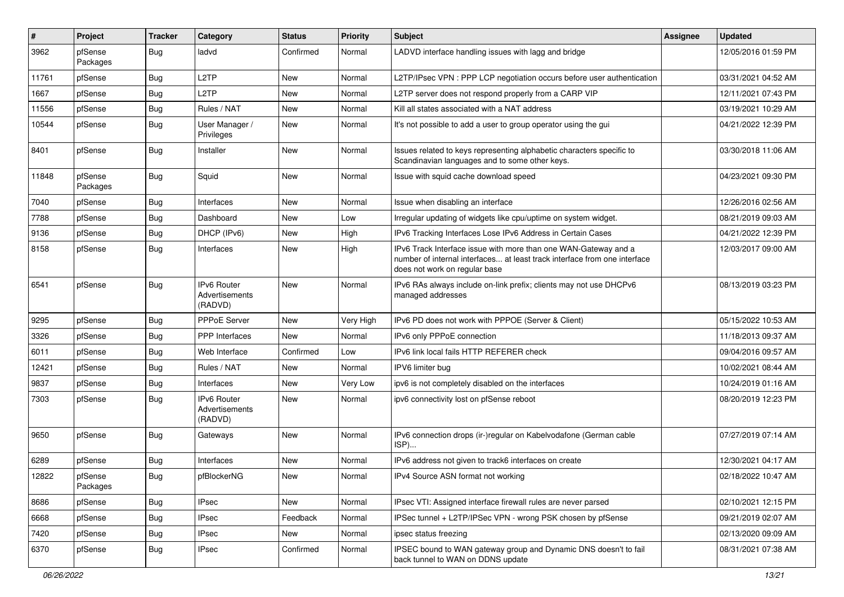| #     | Project             | <b>Tracker</b> | Category                                 | <b>Status</b> | <b>Priority</b> | <b>Subject</b>                                                                                                                                                                | <b>Assignee</b> | <b>Updated</b>      |
|-------|---------------------|----------------|------------------------------------------|---------------|-----------------|-------------------------------------------------------------------------------------------------------------------------------------------------------------------------------|-----------------|---------------------|
| 3962  | pfSense<br>Packages | Bug            | ladvd                                    | Confirmed     | Normal          | LADVD interface handling issues with lagg and bridge                                                                                                                          |                 | 12/05/2016 01:59 PM |
| 11761 | pfSense             | Bug            | L <sub>2</sub> TP                        | New           | Normal          | L2TP/IPsec VPN : PPP LCP negotiation occurs before user authentication                                                                                                        |                 | 03/31/2021 04:52 AM |
| 1667  | pfSense             | <b>Bug</b>     | L <sub>2</sub> TP                        | New           | Normal          | L2TP server does not respond properly from a CARP VIP                                                                                                                         |                 | 12/11/2021 07:43 PM |
| 11556 | pfSense             | Bug            | Rules / NAT                              | New           | Normal          | Kill all states associated with a NAT address                                                                                                                                 |                 | 03/19/2021 10:29 AM |
| 10544 | pfSense             | Bug            | User Manager /<br>Privileges             | New           | Normal          | It's not possible to add a user to group operator using the gui                                                                                                               |                 | 04/21/2022 12:39 PM |
| 8401  | pfSense             | Bug            | Installer                                | <b>New</b>    | Normal          | Issues related to keys representing alphabetic characters specific to<br>Scandinavian languages and to some other keys.                                                       |                 | 03/30/2018 11:06 AM |
| 11848 | pfSense<br>Packages | Bug            | Squid                                    | New           | Normal          | Issue with squid cache download speed                                                                                                                                         |                 | 04/23/2021 09:30 PM |
| 7040  | pfSense             | Bug            | Interfaces                               | New           | Normal          | Issue when disabling an interface                                                                                                                                             |                 | 12/26/2016 02:56 AM |
| 7788  | pfSense             | Bug            | Dashboard                                | New           | Low             | Irregular updating of widgets like cpu/uptime on system widget.                                                                                                               |                 | 08/21/2019 09:03 AM |
| 9136  | pfSense             | <b>Bug</b>     | DHCP (IPv6)                              | New           | High            | IPv6 Tracking Interfaces Lose IPv6 Address in Certain Cases                                                                                                                   |                 | 04/21/2022 12:39 PM |
| 8158  | pfSense             | Bug            | Interfaces                               | <b>New</b>    | High            | IPv6 Track Interface issue with more than one WAN-Gateway and a<br>number of internal interfaces at least track interface from one interface<br>does not work on regular base |                 | 12/03/2017 09:00 AM |
| 6541  | pfSense             | <b>Bug</b>     | IPv6 Router<br>Advertisements<br>(RADVD) | <b>New</b>    | Normal          | IPv6 RAs always include on-link prefix; clients may not use DHCPv6<br>managed addresses                                                                                       |                 | 08/13/2019 03:23 PM |
| 9295  | pfSense             | Bug            | <b>PPPoE Server</b>                      | <b>New</b>    | Very High       | IPv6 PD does not work with PPPOE (Server & Client)                                                                                                                            |                 | 05/15/2022 10:53 AM |
| 3326  | pfSense             | <b>Bug</b>     | PPP Interfaces                           | New           | Normal          | IPv6 only PPPoE connection                                                                                                                                                    |                 | 11/18/2013 09:37 AM |
| 6011  | pfSense             | Bug            | Web Interface                            | Confirmed     | Low             | IPv6 link local fails HTTP REFERER check                                                                                                                                      |                 | 09/04/2016 09:57 AM |
| 12421 | pfSense             | Bug            | Rules / NAT                              | New           | Normal          | IPV6 limiter bug                                                                                                                                                              |                 | 10/02/2021 08:44 AM |
| 9837  | pfSense             | <b>Bug</b>     | Interfaces                               | New           | Very Low        | ipv6 is not completely disabled on the interfaces                                                                                                                             |                 | 10/24/2019 01:16 AM |
| 7303  | pfSense             | Bug            | IPv6 Router<br>Advertisements<br>(RADVD) | New           | Normal          | ipv6 connectivity lost on pfSense reboot                                                                                                                                      |                 | 08/20/2019 12:23 PM |
| 9650  | pfSense             | Bug            | Gateways                                 | New           | Normal          | IPv6 connection drops (ir-)regular on Kabelvodafone (German cable<br>ISP)                                                                                                     |                 | 07/27/2019 07:14 AM |
| 6289  | pfSense             | Bug            | Interfaces                               | New           | Normal          | IPv6 address not given to track6 interfaces on create                                                                                                                         |                 | 12/30/2021 04:17 AM |
| 12822 | pfSense<br>Packages | Bug            | pfBlockerNG                              | New           | Normal          | IPv4 Source ASN format not working                                                                                                                                            |                 | 02/18/2022 10:47 AM |
| 8686  | pfSense             | <b>Bug</b>     | <b>IPsec</b>                             | New           | Normal          | IPsec VTI: Assigned interface firewall rules are never parsed                                                                                                                 |                 | 02/10/2021 12:15 PM |
| 6668  | pfSense             | Bug            | <b>IPsec</b>                             | Feedback      | Normal          | IPSec tunnel + L2TP/IPSec VPN - wrong PSK chosen by pfSense                                                                                                                   |                 | 09/21/2019 02:07 AM |
| 7420  | pfSense             | <b>Bug</b>     | <b>IPsec</b>                             | New           | Normal          | ipsec status freezing                                                                                                                                                         |                 | 02/13/2020 09:09 AM |
| 6370  | pfSense             | Bug            | <b>IPsec</b>                             | Confirmed     | Normal          | IPSEC bound to WAN gateway group and Dynamic DNS doesn't to fail<br>back tunnel to WAN on DDNS update                                                                         |                 | 08/31/2021 07:38 AM |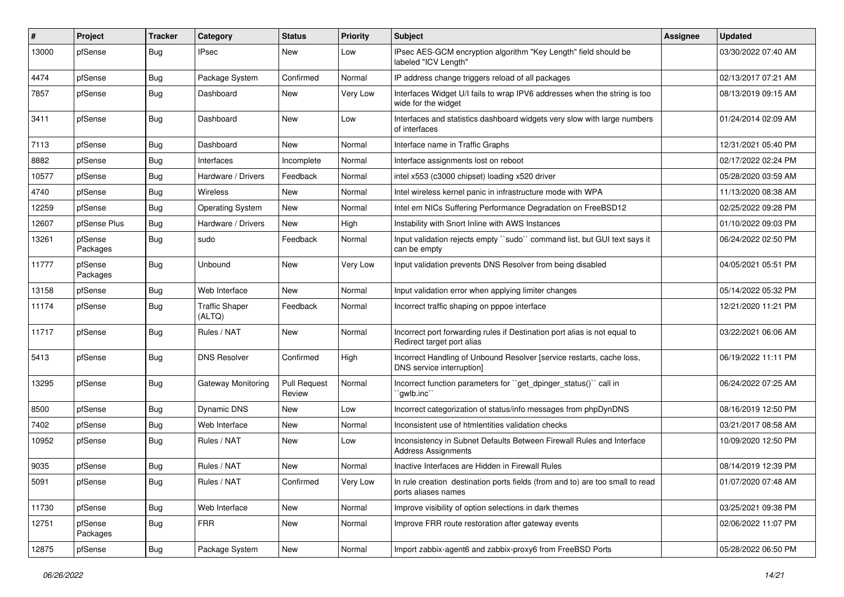| #     | Project             | <b>Tracker</b> | Category                        | <b>Status</b>                 | <b>Priority</b> | <b>Subject</b>                                                                                          | <b>Assignee</b> | <b>Updated</b>      |
|-------|---------------------|----------------|---------------------------------|-------------------------------|-----------------|---------------------------------------------------------------------------------------------------------|-----------------|---------------------|
| 13000 | pfSense             | Bug            | <b>IPsec</b>                    | New                           | Low             | IPsec AES-GCM encryption algorithm "Key Length" field should be<br>labeled "ICV Length"                 |                 | 03/30/2022 07:40 AM |
| 4474  | pfSense             | Bug            | Package System                  | Confirmed                     | Normal          | IP address change triggers reload of all packages                                                       |                 | 02/13/2017 07:21 AM |
| 7857  | pfSense             | Bug            | Dashboard                       | New                           | Very Low        | Interfaces Widget U/I fails to wrap IPV6 addresses when the string is too<br>wide for the widget        |                 | 08/13/2019 09:15 AM |
| 3411  | pfSense             | Bug            | Dashboard                       | <b>New</b>                    | Low             | Interfaces and statistics dashboard widgets very slow with large numbers<br>of interfaces               |                 | 01/24/2014 02:09 AM |
| 7113  | pfSense             | Bug            | Dashboard                       | <b>New</b>                    | Normal          | Interface name in Traffic Graphs                                                                        |                 | 12/31/2021 05:40 PM |
| 8882  | pfSense             | Bug            | Interfaces                      | Incomplete                    | Normal          | Interface assignments lost on reboot                                                                    |                 | 02/17/2022 02:24 PM |
| 10577 | pfSense             | Bug            | Hardware / Drivers              | Feedback                      | Normal          | intel x553 (c3000 chipset) loading x520 driver                                                          |                 | 05/28/2020 03:59 AM |
| 4740  | pfSense             | <b>Bug</b>     | <b>Wireless</b>                 | New                           | Normal          | Intel wireless kernel panic in infrastructure mode with WPA                                             |                 | 11/13/2020 08:38 AM |
| 12259 | pfSense             | Bug            | <b>Operating System</b>         | New                           | Normal          | Intel em NICs Suffering Performance Degradation on FreeBSD12                                            |                 | 02/25/2022 09:28 PM |
| 12607 | pfSense Plus        | Bug            | Hardware / Drivers              | <b>New</b>                    | High            | Instability with Snort Inline with AWS Instances                                                        |                 | 01/10/2022 09:03 PM |
| 13261 | pfSense<br>Packages | Bug            | sudo                            | Feedback                      | Normal          | Input validation rejects empty "sudo" command list, but GUI text says it<br>can be empty                |                 | 06/24/2022 02:50 PM |
| 11777 | pfSense<br>Packages | Bug            | Unbound                         | <b>New</b>                    | Very Low        | Input validation prevents DNS Resolver from being disabled                                              |                 | 04/05/2021 05:51 PM |
| 13158 | pfSense             | Bug            | Web Interface                   | <b>New</b>                    | Normal          | Input validation error when applying limiter changes                                                    |                 | 05/14/2022 05:32 PM |
| 11174 | pfSense             | Bug            | <b>Traffic Shaper</b><br>(ALTQ) | Feedback                      | Normal          | Incorrect traffic shaping on pppoe interface                                                            |                 | 12/21/2020 11:21 PM |
| 11717 | pfSense             | <b>Bug</b>     | Rules / NAT                     | New                           | Normal          | Incorrect port forwarding rules if Destination port alias is not equal to<br>Redirect target port alias |                 | 03/22/2021 06:06 AM |
| 5413  | pfSense             | Bug            | <b>DNS Resolver</b>             | Confirmed                     | High            | Incorrect Handling of Unbound Resolver [service restarts, cache loss,<br>DNS service interruption]      |                 | 06/19/2022 11:11 PM |
| 13295 | pfSense             | Bug            | Gateway Monitoring              | <b>Pull Request</b><br>Review | Normal          | Incorrect function parameters for "get_dpinger_status()" call in<br>`gwlb.inc``                         |                 | 06/24/2022 07:25 AM |
| 8500  | pfSense             | Bug            | <b>Dynamic DNS</b>              | <b>New</b>                    | Low             | Incorrect categorization of status/info messages from phpDynDNS                                         |                 | 08/16/2019 12:50 PM |
| 7402  | pfSense             | Bug            | Web Interface                   | <b>New</b>                    | Normal          | Inconsistent use of htmlentities validation checks                                                      |                 | 03/21/2017 08:58 AM |
| 10952 | pfSense             | Bug            | Rules / NAT                     | <b>New</b>                    | Low             | Inconsistency in Subnet Defaults Between Firewall Rules and Interface<br><b>Address Assignments</b>     |                 | 10/09/2020 12:50 PM |
| 9035  | pfSense             | Bug            | Rules / NAT                     | <b>New</b>                    | Normal          | Inactive Interfaces are Hidden in Firewall Rules                                                        |                 | 08/14/2019 12:39 PM |
| 5091  | pfSense             | <b>Bug</b>     | Rules / NAT                     | Confirmed                     | Very Low        | In rule creation destination ports fields (from and to) are too small to read<br>ports aliases names    |                 | 01/07/2020 07:48 AM |
| 11730 | pfSense             | <b>Bug</b>     | Web Interface                   | New                           | Normal          | Improve visibility of option selections in dark themes                                                  |                 | 03/25/2021 09:38 PM |
| 12751 | pfSense<br>Packages | <b>Bug</b>     | <b>FRR</b>                      | New                           | Normal          | Improve FRR route restoration after gateway events                                                      |                 | 02/06/2022 11:07 PM |
| 12875 | pfSense             | <b>Bug</b>     | Package System                  | New                           | Normal          | Import zabbix-agent6 and zabbix-proxy6 from FreeBSD Ports                                               |                 | 05/28/2022 06:50 PM |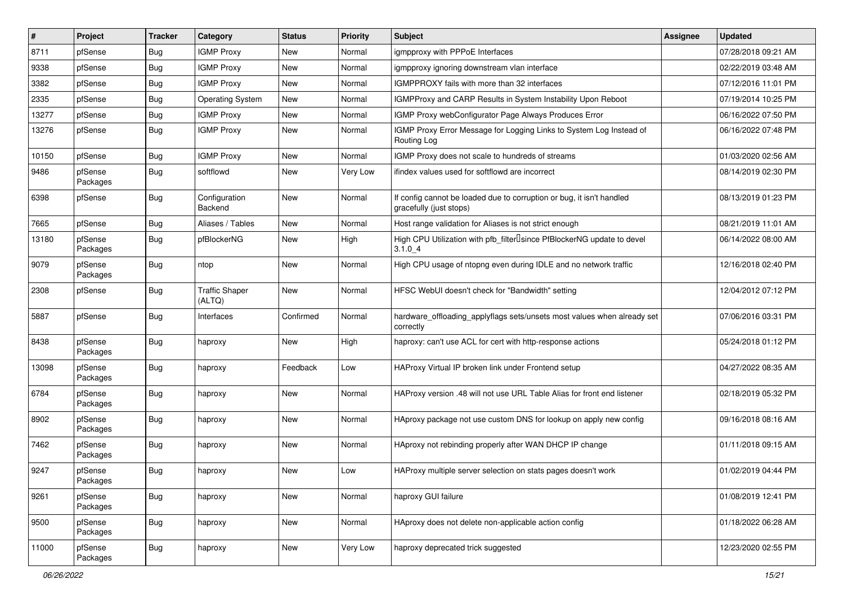| $\vert$ # | Project             | <b>Tracker</b> | Category                        | <b>Status</b> | <b>Priority</b> | <b>Subject</b>                                                                                   | <b>Assignee</b> | <b>Updated</b>      |
|-----------|---------------------|----------------|---------------------------------|---------------|-----------------|--------------------------------------------------------------------------------------------------|-----------------|---------------------|
| 8711      | pfSense             | <b>Bug</b>     | <b>IGMP Proxy</b>               | New           | Normal          | igmpproxy with PPPoE Interfaces                                                                  |                 | 07/28/2018 09:21 AM |
| 9338      | pfSense             | Bug            | <b>IGMP Proxy</b>               | <b>New</b>    | Normal          | igmpproxy ignoring downstream vlan interface                                                     |                 | 02/22/2019 03:48 AM |
| 3382      | pfSense             | <b>Bug</b>     | <b>IGMP Proxy</b>               | <b>New</b>    | Normal          | IGMPPROXY fails with more than 32 interfaces                                                     |                 | 07/12/2016 11:01 PM |
| 2335      | pfSense             | <b>Bug</b>     | <b>Operating System</b>         | New           | Normal          | IGMPProxy and CARP Results in System Instability Upon Reboot                                     |                 | 07/19/2014 10:25 PM |
| 13277     | pfSense             | <b>Bug</b>     | <b>IGMP Proxy</b>               | <b>New</b>    | Normal          | IGMP Proxy webConfigurator Page Always Produces Error                                            |                 | 06/16/2022 07:50 PM |
| 13276     | pfSense             | Bug            | <b>IGMP Proxy</b>               | <b>New</b>    | Normal          | IGMP Proxy Error Message for Logging Links to System Log Instead of<br>Routing Log               |                 | 06/16/2022 07:48 PM |
| 10150     | pfSense             | <b>Bug</b>     | <b>IGMP Proxy</b>               | New           | Normal          | IGMP Proxy does not scale to hundreds of streams                                                 |                 | 01/03/2020 02:56 AM |
| 9486      | pfSense<br>Packages | Bug            | softflowd                       | New           | Very Low        | ifindex values used for softflowd are incorrect                                                  |                 | 08/14/2019 02:30 PM |
| 6398      | pfSense             | <b>Bug</b>     | Configuration<br>Backend        | <b>New</b>    | Normal          | If config cannot be loaded due to corruption or bug, it isn't handled<br>gracefully (just stops) |                 | 08/13/2019 01:23 PM |
| 7665      | pfSense             | <b>Bug</b>     | Aliases / Tables                | <b>New</b>    | Normal          | Host range validation for Aliases is not strict enough                                           |                 | 08/21/2019 11:01 AM |
| 13180     | pfSense<br>Packages | Bug            | pfBlockerNG                     | New           | High            | High CPU Utilization with pfb_filterlsince PfBlockerNG update to devel<br>$3.1.0\_4$             |                 | 06/14/2022 08:00 AM |
| 9079      | pfSense<br>Packages | <b>Bug</b>     | ntop                            | New           | Normal          | High CPU usage of ntopng even during IDLE and no network traffic                                 |                 | 12/16/2018 02:40 PM |
| 2308      | pfSense             | Bug            | <b>Traffic Shaper</b><br>(ALTQ) | New           | Normal          | HFSC WebUI doesn't check for "Bandwidth" setting                                                 |                 | 12/04/2012 07:12 PM |
| 5887      | pfSense             | Bug            | Interfaces                      | Confirmed     | Normal          | hardware_offloading_applyflags sets/unsets most values when already set<br>correctly             |                 | 07/06/2016 03:31 PM |
| 8438      | pfSense<br>Packages | <b>Bug</b>     | haproxy                         | <b>New</b>    | High            | haproxy: can't use ACL for cert with http-response actions                                       |                 | 05/24/2018 01:12 PM |
| 13098     | pfSense<br>Packages | Bug            | haproxy                         | Feedback      | Low             | HAProxy Virtual IP broken link under Frontend setup                                              |                 | 04/27/2022 08:35 AM |
| 6784      | pfSense<br>Packages | <b>Bug</b>     | haproxy                         | <b>New</b>    | Normal          | HAProxy version .48 will not use URL Table Alias for front end listener                          |                 | 02/18/2019 05:32 PM |
| 8902      | pfSense<br>Packages | Bug            | haproxy                         | <b>New</b>    | Normal          | HAproxy package not use custom DNS for lookup on apply new config                                |                 | 09/16/2018 08:16 AM |
| 7462      | pfSense<br>Packages | <b>Bug</b>     | haproxy                         | New           | Normal          | HAproxy not rebinding properly after WAN DHCP IP change                                          |                 | 01/11/2018 09:15 AM |
| 9247      | pfSense<br>Packages | Bug            | haproxy                         | New           | Low             | HAProxy multiple server selection on stats pages doesn't work                                    |                 | 01/02/2019 04:44 PM |
| 9261      | pfSense<br>Packages | Bug            | haproxy                         | New           | Normal          | haproxy GUI failure                                                                              |                 | 01/08/2019 12:41 PM |
| 9500      | pfSense<br>Packages | <b>Bug</b>     | haproxy                         | New           | Normal          | HAproxy does not delete non-applicable action config                                             |                 | 01/18/2022 06:28 AM |
| 11000     | pfSense<br>Packages | Bug            | haproxy                         | New           | Very Low        | haproxy deprecated trick suggested                                                               |                 | 12/23/2020 02:55 PM |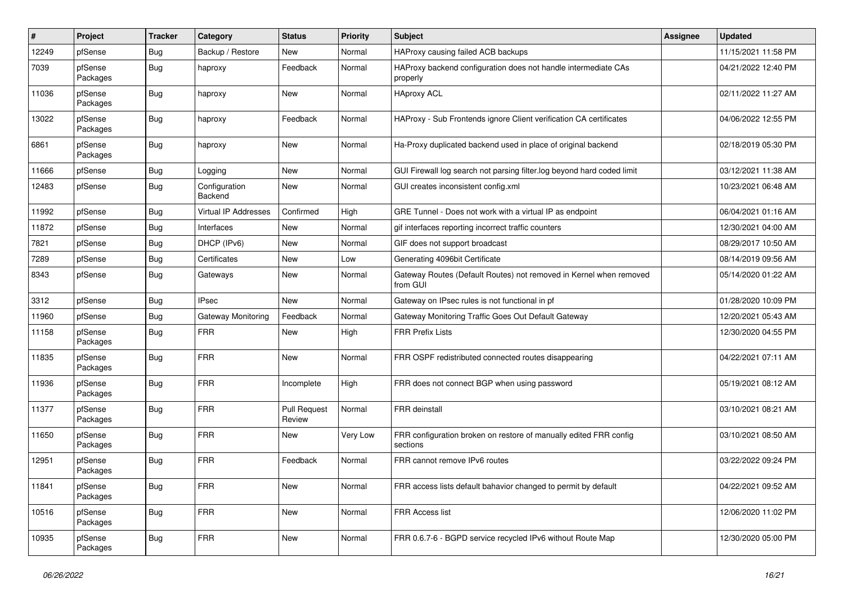| #     | Project             | <b>Tracker</b> | Category                 | <b>Status</b>                 | <b>Priority</b> | Subject                                                                        | <b>Assignee</b> | <b>Updated</b>      |
|-------|---------------------|----------------|--------------------------|-------------------------------|-----------------|--------------------------------------------------------------------------------|-----------------|---------------------|
| 12249 | pfSense             | Bug            | Backup / Restore         | New                           | Normal          | HAProxy causing failed ACB backups                                             |                 | 11/15/2021 11:58 PM |
| 7039  | pfSense<br>Packages | Bug            | haproxy                  | Feedback                      | Normal          | HAProxy backend configuration does not handle intermediate CAs<br>properly     |                 | 04/21/2022 12:40 PM |
| 11036 | pfSense<br>Packages | Bug            | haproxy                  | New                           | Normal          | <b>HAproxy ACL</b>                                                             |                 | 02/11/2022 11:27 AM |
| 13022 | pfSense<br>Packages | Bug            | haproxy                  | Feedback                      | Normal          | HAProxy - Sub Frontends ignore Client verification CA certificates             |                 | 04/06/2022 12:55 PM |
| 6861  | pfSense<br>Packages | Bug            | haproxy                  | <b>New</b>                    | Normal          | Ha-Proxy duplicated backend used in place of original backend                  |                 | 02/18/2019 05:30 PM |
| 11666 | pfSense             | Bug            | Logging                  | New                           | Normal          | GUI Firewall log search not parsing filter.log beyond hard coded limit         |                 | 03/12/2021 11:38 AM |
| 12483 | pfSense             | Bug            | Configuration<br>Backend | New                           | Normal          | GUI creates inconsistent config.xml                                            |                 | 10/23/2021 06:48 AM |
| 11992 | pfSense             | Bug            | Virtual IP Addresses     | Confirmed                     | High            | GRE Tunnel - Does not work with a virtual IP as endpoint                       |                 | 06/04/2021 01:16 AM |
| 11872 | pfSense             | Bug            | Interfaces               | New                           | Normal          | gif interfaces reporting incorrect traffic counters                            |                 | 12/30/2021 04:00 AM |
| 7821  | pfSense             | Bug            | DHCP (IPv6)              | <b>New</b>                    | Normal          | GIF does not support broadcast                                                 |                 | 08/29/2017 10:50 AM |
| 7289  | pfSense             | Bug            | Certificates             | <b>New</b>                    | Low             | Generating 4096bit Certificate                                                 |                 | 08/14/2019 09:56 AM |
| 8343  | pfSense             | <b>Bug</b>     | Gateways                 | New                           | Normal          | Gateway Routes (Default Routes) not removed in Kernel when removed<br>from GUI |                 | 05/14/2020 01:22 AM |
| 3312  | pfSense             | Bug            | <b>IPsec</b>             | New                           | Normal          | Gateway on IPsec rules is not functional in pf                                 |                 | 01/28/2020 10:09 PM |
| 11960 | pfSense             | Bug            | Gateway Monitoring       | Feedback                      | Normal          | Gateway Monitoring Traffic Goes Out Default Gateway                            |                 | 12/20/2021 05:43 AM |
| 11158 | pfSense<br>Packages | Bug            | <b>FRR</b>               | New                           | High            | <b>FRR Prefix Lists</b>                                                        |                 | 12/30/2020 04:55 PM |
| 11835 | pfSense<br>Packages | Bug            | <b>FRR</b>               | <b>New</b>                    | Normal          | FRR OSPF redistributed connected routes disappearing                           |                 | 04/22/2021 07:11 AM |
| 11936 | pfSense<br>Packages | Bug            | <b>FRR</b>               | Incomplete                    | High            | FRR does not connect BGP when using password                                   |                 | 05/19/2021 08:12 AM |
| 11377 | pfSense<br>Packages | Bug            | <b>FRR</b>               | <b>Pull Request</b><br>Review | Normal          | <b>FRR</b> deinstall                                                           |                 | 03/10/2021 08:21 AM |
| 11650 | pfSense<br>Packages | Bug            | <b>FRR</b>               | New                           | Very Low        | FRR configuration broken on restore of manually edited FRR config<br>sections  |                 | 03/10/2021 08:50 AM |
| 12951 | pfSense<br>Packages | Bug            | <b>FRR</b>               | Feedback                      | Normal          | FRR cannot remove IPv6 routes                                                  |                 | 03/22/2022 09:24 PM |
| 11841 | pfSense<br>Packages | Bug            | <b>FRR</b>               | New                           | Normal          | FRR access lists default bahavior changed to permit by default                 |                 | 04/22/2021 09:52 AM |
| 10516 | pfSense<br>Packages | Bug            | <b>FRR</b>               | New                           | Normal          | FRR Access list                                                                |                 | 12/06/2020 11:02 PM |
| 10935 | pfSense<br>Packages | <b>Bug</b>     | <b>FRR</b>               | New                           | Normal          | FRR 0.6.7-6 - BGPD service recycled IPv6 without Route Map                     |                 | 12/30/2020 05:00 PM |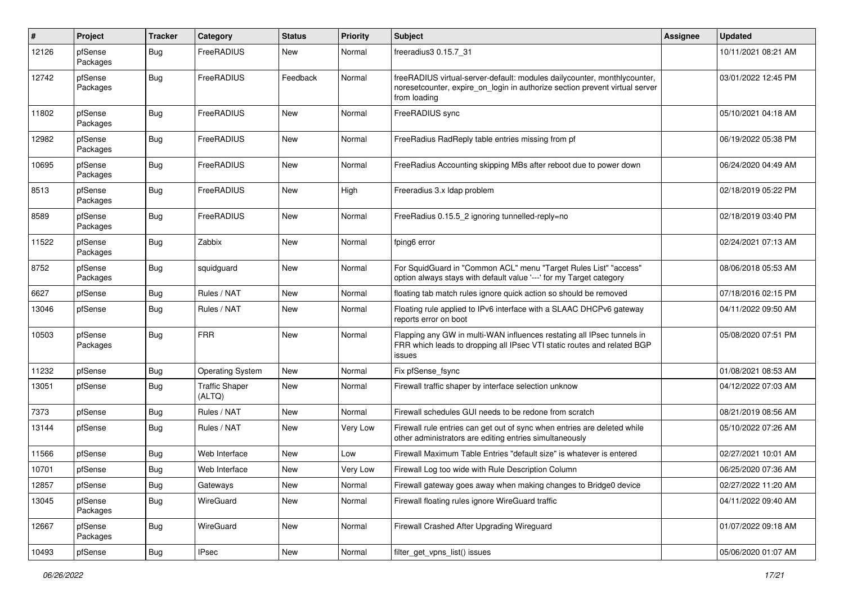| $\sharp$ | Project             | <b>Tracker</b>   | Category                        | <b>Status</b> | <b>Priority</b> | <b>Subject</b>                                                                                                                                                           | <b>Assignee</b> | <b>Updated</b>      |
|----------|---------------------|------------------|---------------------------------|---------------|-----------------|--------------------------------------------------------------------------------------------------------------------------------------------------------------------------|-----------------|---------------------|
| 12126    | pfSense<br>Packages | Bug              | FreeRADIUS                      | New           | Normal          | freeradius3 0.15.7 31                                                                                                                                                    |                 | 10/11/2021 08:21 AM |
| 12742    | pfSense<br>Packages | <b>Bug</b>       | FreeRADIUS                      | Feedback      | Normal          | freeRADIUS virtual-server-default: modules dailycounter, monthlycounter,<br>noreset counter, expire on login in authorize section prevent virtual server<br>from loading |                 | 03/01/2022 12:45 PM |
| 11802    | pfSense<br>Packages | Bug              | FreeRADIUS                      | <b>New</b>    | Normal          | FreeRADIUS sync                                                                                                                                                          |                 | 05/10/2021 04:18 AM |
| 12982    | pfSense<br>Packages | <b>Bug</b>       | FreeRADIUS                      | <b>New</b>    | Normal          | FreeRadius RadReply table entries missing from pf                                                                                                                        |                 | 06/19/2022 05:38 PM |
| 10695    | pfSense<br>Packages | Bug              | FreeRADIUS                      | New           | Normal          | FreeRadius Accounting skipping MBs after reboot due to power down                                                                                                        |                 | 06/24/2020 04:49 AM |
| 8513     | pfSense<br>Packages | <b>Bug</b>       | FreeRADIUS                      | New           | High            | Freeradius 3.x Idap problem                                                                                                                                              |                 | 02/18/2019 05:22 PM |
| 8589     | pfSense<br>Packages | <b>Bug</b>       | FreeRADIUS                      | <b>New</b>    | Normal          | FreeRadius 0.15.5 2 ignoring tunnelled-reply=no                                                                                                                          |                 | 02/18/2019 03:40 PM |
| 11522    | pfSense<br>Packages | <b>Bug</b>       | Zabbix                          | New           | Normal          | fping6 error                                                                                                                                                             |                 | 02/24/2021 07:13 AM |
| 8752     | pfSense<br>Packages | Bug              | squidguard                      | New           | Normal          | For SquidGuard in "Common ACL" menu "Target Rules List" "access"<br>option always stays with default value '---' for my Target category                                  |                 | 08/06/2018 05:53 AM |
| 6627     | pfSense             | <b>Bug</b>       | Rules / NAT                     | <b>New</b>    | Normal          | floating tab match rules ignore quick action so should be removed                                                                                                        |                 | 07/18/2016 02:15 PM |
| 13046    | pfSense             | Bug              | Rules / NAT                     | <b>New</b>    | Normal          | Floating rule applied to IPv6 interface with a SLAAC DHCPv6 gateway<br>reports error on boot                                                                             |                 | 04/11/2022 09:50 AM |
| 10503    | pfSense<br>Packages | <b>Bug</b>       | <b>FRR</b>                      | <b>New</b>    | Normal          | Flapping any GW in multi-WAN influences restating all IPsec tunnels in<br>FRR which leads to dropping all IPsec VTI static routes and related BGP<br>issues              |                 | 05/08/2020 07:51 PM |
| 11232    | pfSense             | <b>Bug</b>       | <b>Operating System</b>         | <b>New</b>    | Normal          | Fix pfSense_fsync                                                                                                                                                        |                 | 01/08/2021 08:53 AM |
| 13051    | pfSense             | <b>Bug</b>       | <b>Traffic Shaper</b><br>(ALTQ) | New           | Normal          | Firewall traffic shaper by interface selection unknow                                                                                                                    |                 | 04/12/2022 07:03 AM |
| 7373     | pfSense             | <b>Bug</b>       | Rules / NAT                     | <b>New</b>    | Normal          | Firewall schedules GUI needs to be redone from scratch                                                                                                                   |                 | 08/21/2019 08:56 AM |
| 13144    | pfSense             | Bug              | Rules / NAT                     | <b>New</b>    | Very Low        | Firewall rule entries can get out of sync when entries are deleted while<br>other administrators are editing entries simultaneously                                      |                 | 05/10/2022 07:26 AM |
| 11566    | pfSense             | Bug              | Web Interface                   | <b>New</b>    | Low             | Firewall Maximum Table Entries "default size" is whatever is entered                                                                                                     |                 | 02/27/2021 10:01 AM |
| 10701    | pfSense             | Bug              | Web Interface                   | New           | Very Low        | Firewall Log too wide with Rule Description Column                                                                                                                       |                 | 06/25/2020 07:36 AM |
| 12857    | pfSense             | Bug              | Gateways                        | New           | Normal          | Firewall gateway goes away when making changes to Bridge0 device                                                                                                         |                 | 02/27/2022 11:20 AM |
| 13045    | pfSense<br>Packages | <b>Bug</b>       | WireGuard                       | New           | Normal          | Firewall floating rules ignore WireGuard traffic                                                                                                                         |                 | 04/11/2022 09:40 AM |
| 12667    | pfSense<br>Packages | <b>Bug</b>       | WireGuard                       | New           | Normal          | Firewall Crashed After Upgrading Wireguard                                                                                                                               |                 | 01/07/2022 09:18 AM |
| 10493    | pfSense             | <sub>I</sub> Bug | <b>IPsec</b>                    | New           | Normal          | filter_get_vpns_list() issues                                                                                                                                            |                 | 05/06/2020 01:07 AM |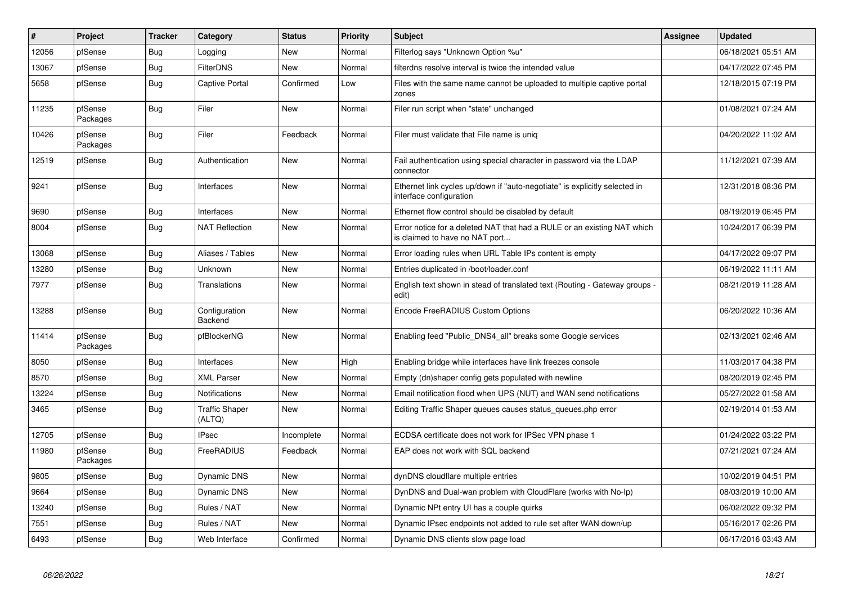| $\#$  | Project             | <b>Tracker</b> | Category                        | <b>Status</b> | <b>Priority</b> | <b>Subject</b>                                                                                            | Assignee | <b>Updated</b>      |
|-------|---------------------|----------------|---------------------------------|---------------|-----------------|-----------------------------------------------------------------------------------------------------------|----------|---------------------|
| 12056 | pfSense             | <b>Bug</b>     | Logging                         | New           | Normal          | Filterlog says "Unknown Option %u"                                                                        |          | 06/18/2021 05:51 AM |
| 13067 | pfSense             | <b>Bug</b>     | <b>FilterDNS</b>                | <b>New</b>    | Normal          | filterdns resolve interval is twice the intended value                                                    |          | 04/17/2022 07:45 PM |
| 5658  | pfSense             | <b>Bug</b>     | <b>Captive Portal</b>           | Confirmed     | Low             | Files with the same name cannot be uploaded to multiple captive portal<br>zones                           |          | 12/18/2015 07:19 PM |
| 11235 | pfSense<br>Packages | Bug            | Filer                           | New           | Normal          | Filer run script when "state" unchanged                                                                   |          | 01/08/2021 07:24 AM |
| 10426 | pfSense<br>Packages | <b>Bug</b>     | Filer                           | Feedback      | Normal          | Filer must validate that File name is unig                                                                |          | 04/20/2022 11:02 AM |
| 12519 | pfSense             | Bug            | Authentication                  | <b>New</b>    | Normal          | Fail authentication using special character in password via the LDAP<br>connector                         |          | 11/12/2021 07:39 AM |
| 9241  | pfSense             | Bug            | Interfaces                      | New           | Normal          | Ethernet link cycles up/down if "auto-negotiate" is explicitly selected in<br>interface configuration     |          | 12/31/2018 08:36 PM |
| 9690  | pfSense             | Bug            | Interfaces                      | <b>New</b>    | Normal          | Ethernet flow control should be disabled by default                                                       |          | 08/19/2019 06:45 PM |
| 8004  | pfSense             | Bug            | <b>NAT Reflection</b>           | New           | Normal          | Error notice for a deleted NAT that had a RULE or an existing NAT which<br>is claimed to have no NAT port |          | 10/24/2017 06:39 PM |
| 13068 | pfSense             | Bug            | Aliases / Tables                | <b>New</b>    | Normal          | Error loading rules when URL Table IPs content is empty                                                   |          | 04/17/2022 09:07 PM |
| 13280 | pfSense             | Bug            | Unknown                         | <b>New</b>    | Normal          | Entries duplicated in /boot/loader.conf                                                                   |          | 06/19/2022 11:11 AM |
| 7977  | pfSense             | <b>Bug</b>     | Translations                    | <b>New</b>    | Normal          | English text shown in stead of translated text (Routing - Gateway groups -<br>edit)                       |          | 08/21/2019 11:28 AM |
| 13288 | pfSense             | Bug            | Configuration<br>Backend        | <b>New</b>    | Normal          | Encode FreeRADIUS Custom Options                                                                          |          | 06/20/2022 10:36 AM |
| 11414 | pfSense<br>Packages | Bug            | pfBlockerNG                     | <b>New</b>    | Normal          | Enabling feed "Public_DNS4_all" breaks some Google services                                               |          | 02/13/2021 02:46 AM |
| 8050  | pfSense             | <b>Bug</b>     | Interfaces                      | New           | High            | Enabling bridge while interfaces have link freezes console                                                |          | 11/03/2017 04:38 PM |
| 8570  | pfSense             | Bug            | <b>XML Parser</b>               | <b>New</b>    | Normal          | Empty (dn)shaper config gets populated with newline                                                       |          | 08/20/2019 02:45 PM |
| 13224 | pfSense             | <b>Bug</b>     | <b>Notifications</b>            | <b>New</b>    | Normal          | Email notification flood when UPS (NUT) and WAN send notifications                                        |          | 05/27/2022 01:58 AM |
| 3465  | pfSense             | Bug            | <b>Traffic Shaper</b><br>(ALTQ) | <b>New</b>    | Normal          | Editing Traffic Shaper queues causes status queues.php error                                              |          | 02/19/2014 01:53 AM |
| 12705 | pfSense             | <b>Bug</b>     | <b>IPsec</b>                    | Incomplete    | Normal          | ECDSA certificate does not work for IPSec VPN phase 1                                                     |          | 01/24/2022 03:22 PM |
| 11980 | pfSense<br>Packages | <b>Bug</b>     | FreeRADIUS                      | Feedback      | Normal          | EAP does not work with SQL backend                                                                        |          | 07/21/2021 07:24 AM |
| 9805  | pfSense             | <b>Bug</b>     | <b>Dynamic DNS</b>              | <b>New</b>    | Normal          | dynDNS cloudflare multiple entries                                                                        |          | 10/02/2019 04:51 PM |
| 9664  | pfSense             | <b>Bug</b>     | <b>Dynamic DNS</b>              | New           | Normal          | DynDNS and Dual-wan problem with CloudFlare (works with No-Ip)                                            |          | 08/03/2019 10:00 AM |
| 13240 | pfSense             | Bug            | Rules / NAT                     | New           | Normal          | Dynamic NPt entry UI has a couple quirks                                                                  |          | 06/02/2022 09:32 PM |
| 7551  | pfSense             | <b>Bug</b>     | Rules / NAT                     | <b>New</b>    | Normal          | Dynamic IPsec endpoints not added to rule set after WAN down/up                                           |          | 05/16/2017 02:26 PM |
| 6493  | pfSense             | Bug            | Web Interface                   | Confirmed     | Normal          | Dynamic DNS clients slow page load                                                                        |          | 06/17/2016 03:43 AM |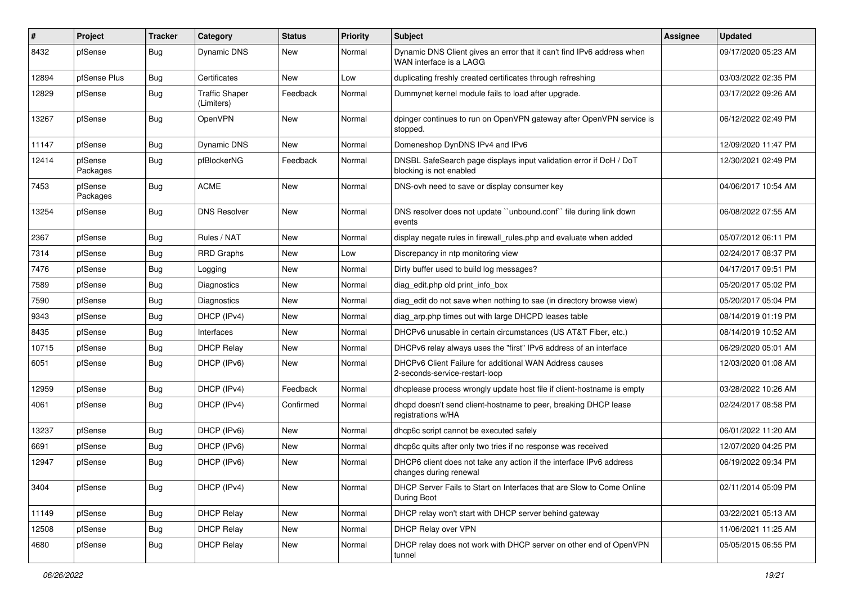| $\vert$ # | Project             | <b>Tracker</b> | Category                            | <b>Status</b> | <b>Priority</b> | <b>Subject</b>                                                                                    | <b>Assignee</b> | <b>Updated</b>      |
|-----------|---------------------|----------------|-------------------------------------|---------------|-----------------|---------------------------------------------------------------------------------------------------|-----------------|---------------------|
| 8432      | pfSense             | Bug            | <b>Dynamic DNS</b>                  | New           | Normal          | Dynamic DNS Client gives an error that it can't find IPv6 address when<br>WAN interface is a LAGG |                 | 09/17/2020 05:23 AM |
| 12894     | pfSense Plus        | <b>Bug</b>     | Certificates                        | <b>New</b>    | Low             | duplicating freshly created certificates through refreshing                                       |                 | 03/03/2022 02:35 PM |
| 12829     | pfSense             | Bug            | <b>Traffic Shaper</b><br>(Limiters) | Feedback      | Normal          | Dummynet kernel module fails to load after upgrade.                                               |                 | 03/17/2022 09:26 AM |
| 13267     | pfSense             | <b>Bug</b>     | OpenVPN                             | New           | Normal          | dpinger continues to run on OpenVPN gateway after OpenVPN service is<br>stopped.                  |                 | 06/12/2022 02:49 PM |
| 11147     | pfSense             | Bug            | <b>Dynamic DNS</b>                  | <b>New</b>    | Normal          | Domeneshop DynDNS IPv4 and IPv6                                                                   |                 | 12/09/2020 11:47 PM |
| 12414     | pfSense<br>Packages | Bug            | pfBlockerNG                         | Feedback      | Normal          | DNSBL SafeSearch page displays input validation error if DoH / DoT<br>blocking is not enabled     |                 | 12/30/2021 02:49 PM |
| 7453      | pfSense<br>Packages | <b>Bug</b>     | <b>ACME</b>                         | New           | Normal          | DNS-ovh need to save or display consumer key                                                      |                 | 04/06/2017 10:54 AM |
| 13254     | pfSense             | Bug            | <b>DNS Resolver</b>                 | New           | Normal          | DNS resolver does not update "unbound.conf" file during link down<br>events                       |                 | 06/08/2022 07:55 AM |
| 2367      | pfSense             | Bug            | Rules / NAT                         | New           | Normal          | display negate rules in firewall_rules.php and evaluate when added                                |                 | 05/07/2012 06:11 PM |
| 7314      | pfSense             | Bug            | <b>RRD Graphs</b>                   | New           | Low             | Discrepancy in ntp monitoring view                                                                |                 | 02/24/2017 08:37 PM |
| 7476      | pfSense             | <b>Bug</b>     | Logging                             | New           | Normal          | Dirty buffer used to build log messages?                                                          |                 | 04/17/2017 09:51 PM |
| 7589      | pfSense             | Bug            | Diagnostics                         | New           | Normal          | diag edit.php old print info box                                                                  |                 | 05/20/2017 05:02 PM |
| 7590      | pfSense             | <b>Bug</b>     | <b>Diagnostics</b>                  | New           | Normal          | diag edit do not save when nothing to sae (in directory browse view)                              |                 | 05/20/2017 05:04 PM |
| 9343      | pfSense             | <b>Bug</b>     | DHCP (IPv4)                         | New           | Normal          | diag_arp.php times out with large DHCPD leases table                                              |                 | 08/14/2019 01:19 PM |
| 8435      | pfSense             | Bug            | Interfaces                          | New           | Normal          | DHCPv6 unusable in certain circumstances (US AT&T Fiber, etc.)                                    |                 | 08/14/2019 10:52 AM |
| 10715     | pfSense             | <b>Bug</b>     | <b>DHCP Relay</b>                   | New           | Normal          | DHCPv6 relay always uses the "first" IPv6 address of an interface                                 |                 | 06/29/2020 05:01 AM |
| 6051      | pfSense             | Bug            | DHCP (IPv6)                         | New           | Normal          | DHCPv6 Client Failure for additional WAN Address causes<br>2-seconds-service-restart-loop         |                 | 12/03/2020 01:08 AM |
| 12959     | pfSense             | Bug            | DHCP (IPv4)                         | Feedback      | Normal          | dhcplease process wrongly update host file if client-hostname is empty                            |                 | 03/28/2022 10:26 AM |
| 4061      | pfSense             | Bug            | DHCP (IPv4)                         | Confirmed     | Normal          | dhcpd doesn't send client-hostname to peer, breaking DHCP lease<br>registrations w/HA             |                 | 02/24/2017 08:58 PM |
| 13237     | pfSense             | Bug            | DHCP (IPv6)                         | New           | Normal          | dhcp6c script cannot be executed safely                                                           |                 | 06/01/2022 11:20 AM |
| 6691      | pfSense             | Bug            | DHCP (IPv6)                         | New           | Normal          | dhcp6c quits after only two tries if no response was received                                     |                 | 12/07/2020 04:25 PM |
| 12947     | pfSense             | Bug            | DHCP (IPv6)                         | New           | Normal          | DHCP6 client does not take any action if the interface IPv6 address<br>changes during renewal     |                 | 06/19/2022 09:34 PM |
| 3404      | pfSense             | Bug            | DHCP (IPv4)                         | New           | Normal          | DHCP Server Fails to Start on Interfaces that are Slow to Come Online<br>During Boot              |                 | 02/11/2014 05:09 PM |
| 11149     | pfSense             | <b>Bug</b>     | <b>DHCP Relay</b>                   | New           | Normal          | DHCP relay won't start with DHCP server behind gateway                                            |                 | 03/22/2021 05:13 AM |
| 12508     | pfSense             | <b>Bug</b>     | <b>DHCP Relay</b>                   | New           | Normal          | DHCP Relay over VPN                                                                               |                 | 11/06/2021 11:25 AM |
| 4680      | pfSense             | <b>Bug</b>     | <b>DHCP Relay</b>                   | New           | Normal          | DHCP relay does not work with DHCP server on other end of OpenVPN<br>tunnel                       |                 | 05/05/2015 06:55 PM |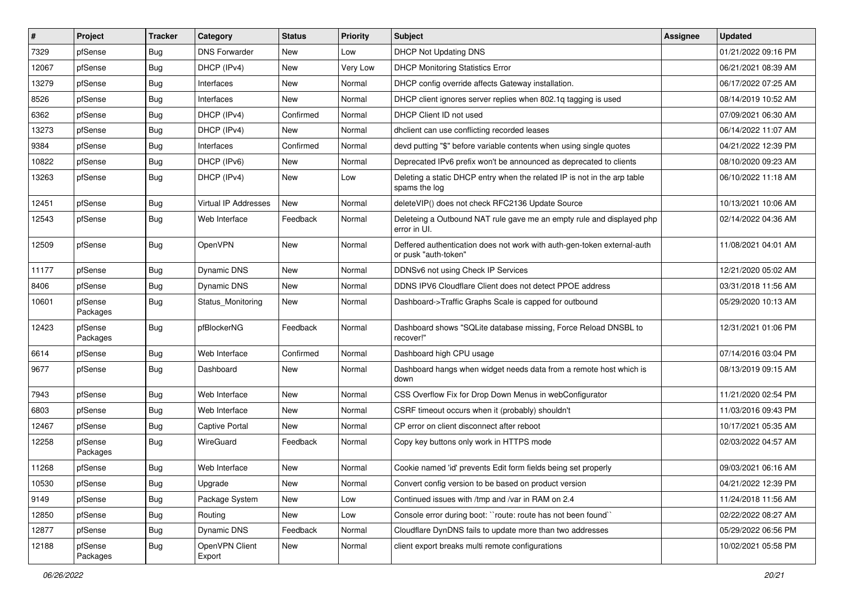| $\vert$ # | Project             | <b>Tracker</b> | Category                 | <b>Status</b> | <b>Priority</b> | <b>Subject</b>                                                                                  | Assignee | <b>Updated</b>      |
|-----------|---------------------|----------------|--------------------------|---------------|-----------------|-------------------------------------------------------------------------------------------------|----------|---------------------|
| 7329      | pfSense             | <b>Bug</b>     | <b>DNS Forwarder</b>     | New           | Low             | DHCP Not Updating DNS                                                                           |          | 01/21/2022 09:16 PM |
| 12067     | pfSense             | Bug            | DHCP (IPv4)              | <b>New</b>    | Very Low        | <b>DHCP Monitoring Statistics Error</b>                                                         |          | 06/21/2021 08:39 AM |
| 13279     | pfSense             | <b>Bug</b>     | Interfaces               | New           | Normal          | DHCP config override affects Gateway installation.                                              |          | 06/17/2022 07:25 AM |
| 8526      | pfSense             | <b>Bug</b>     | Interfaces               | New           | Normal          | DHCP client ignores server replies when 802.1q tagging is used                                  |          | 08/14/2019 10:52 AM |
| 6362      | pfSense             | Bug            | DHCP (IPv4)              | Confirmed     | Normal          | DHCP Client ID not used                                                                         |          | 07/09/2021 06:30 AM |
| 13273     | pfSense             | <b>Bug</b>     | DHCP (IPv4)              | New           | Normal          | dhclient can use conflicting recorded leases                                                    |          | 06/14/2022 11:07 AM |
| 9384      | pfSense             | Bug            | Interfaces               | Confirmed     | Normal          | devd putting "\$" before variable contents when using single quotes                             |          | 04/21/2022 12:39 PM |
| 10822     | pfSense             | Bug            | DHCP (IPv6)              | New           | Normal          | Deprecated IPv6 prefix won't be announced as deprecated to clients                              |          | 08/10/2020 09:23 AM |
| 13263     | pfSense             | Bug            | DHCP (IPv4)              | <b>New</b>    | Low             | Deleting a static DHCP entry when the related IP is not in the arp table<br>spams the log       |          | 06/10/2022 11:18 AM |
| 12451     | pfSense             | Bug            | Virtual IP Addresses     | New           | Normal          | deleteVIP() does not check RFC2136 Update Source                                                |          | 10/13/2021 10:06 AM |
| 12543     | pfSense             | Bug            | Web Interface            | Feedback      | Normal          | Deleteing a Outbound NAT rule gave me an empty rule and displayed php<br>error in UI.           |          | 02/14/2022 04:36 AM |
| 12509     | pfSense             | Bug            | OpenVPN                  | <b>New</b>    | Normal          | Deffered authentication does not work with auth-gen-token external-auth<br>or pusk "auth-token" |          | 11/08/2021 04:01 AM |
| 11177     | pfSense             | Bug            | <b>Dynamic DNS</b>       | <b>New</b>    | Normal          | DDNSv6 not using Check IP Services                                                              |          | 12/21/2020 05:02 AM |
| 8406      | pfSense             | Bug            | Dynamic DNS              | New           | Normal          | DDNS IPV6 Cloudflare Client does not detect PPOE address                                        |          | 03/31/2018 11:56 AM |
| 10601     | pfSense<br>Packages | Bug            | Status Monitoring        | New           | Normal          | Dashboard->Traffic Graphs Scale is capped for outbound                                          |          | 05/29/2020 10:13 AM |
| 12423     | pfSense<br>Packages | Bug            | pfBlockerNG              | Feedback      | Normal          | Dashboard shows "SQLite database missing, Force Reload DNSBL to<br>recover!"                    |          | 12/31/2021 01:06 PM |
| 6614      | pfSense             | Bug            | Web Interface            | Confirmed     | Normal          | Dashboard high CPU usage                                                                        |          | 07/14/2016 03:04 PM |
| 9677      | pfSense             | Bug            | Dashboard                | New           | Normal          | Dashboard hangs when widget needs data from a remote host which is<br>down                      |          | 08/13/2019 09:15 AM |
| 7943      | pfSense             | Bug            | Web Interface            | <b>New</b>    | Normal          | CSS Overflow Fix for Drop Down Menus in webConfigurator                                         |          | 11/21/2020 02:54 PM |
| 6803      | pfSense             | Bug            | Web Interface            | New           | Normal          | CSRF timeout occurs when it (probably) shouldn't                                                |          | 11/03/2016 09:43 PM |
| 12467     | pfSense             | <b>Bug</b>     | <b>Captive Portal</b>    | New           | Normal          | CP error on client disconnect after reboot                                                      |          | 10/17/2021 05:35 AM |
| 12258     | pfSense<br>Packages | Bug            | WireGuard                | Feedback      | Normal          | Copy key buttons only work in HTTPS mode                                                        |          | 02/03/2022 04:57 AM |
| 11268     | pfSense             | Bug            | Web Interface            | New           | Normal          | Cookie named 'id' prevents Edit form fields being set properly                                  |          | 09/03/2021 06:16 AM |
| 10530     | pfSense             | <b>Bug</b>     | Upgrade                  | New           | Normal          | Convert config version to be based on product version                                           |          | 04/21/2022 12:39 PM |
| 9149      | pfSense             | <b>Bug</b>     | Package System           | New           | Low             | Continued issues with /tmp and /var in RAM on 2.4                                               |          | 11/24/2018 11:56 AM |
| 12850     | pfSense             | Bug            | Routing                  | New           | Low             | Console error during boot: "route: route has not been found"                                    |          | 02/22/2022 08:27 AM |
| 12877     | pfSense             | <b>Bug</b>     | Dynamic DNS              | Feedback      | Normal          | Cloudflare DynDNS fails to update more than two addresses                                       |          | 05/29/2022 06:56 PM |
| 12188     | pfSense<br>Packages | <b>Bug</b>     | OpenVPN Client<br>Export | New           | Normal          | client export breaks multi remote configurations                                                |          | 10/02/2021 05:58 PM |